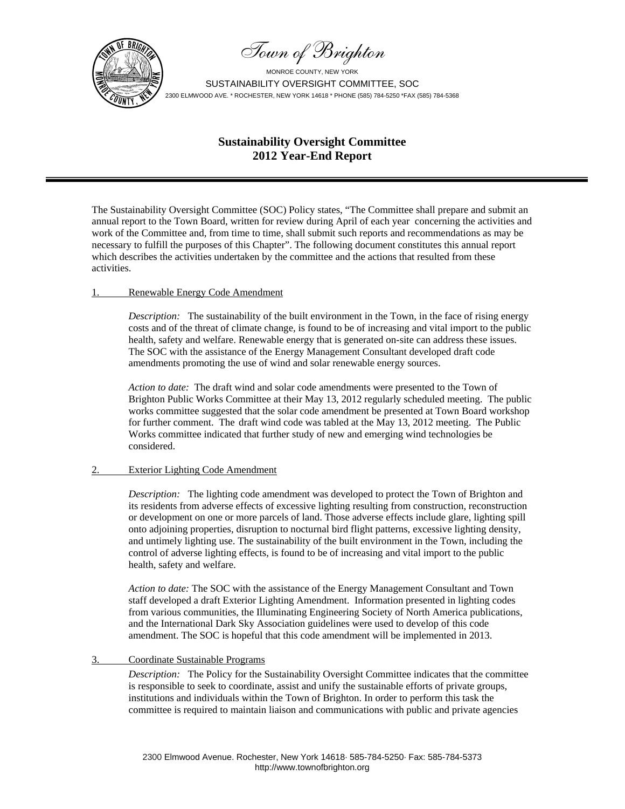



# **Sustainability Oversight Committee 2012 Year-End Report**

The Sustainability Oversight Committee (SOC) Policy states, "The Committee shall prepare and submit an annual report to the Town Board, written for review during April of each year concerning the activities and work of the Committee and, from time to time, shall submit such reports and recommendations as may be necessary to fulfill the purposes of this Chapter". The following document constitutes this annual report which describes the activities undertaken by the committee and the actions that resulted from these activities.

#### 1. Renewable Energy Code Amendment

*Description:* The sustainability of the built environment in the Town, in the face of rising energy costs and of the threat of climate change, is found to be of increasing and vital import to the public health, safety and welfare. Renewable energy that is generated on-site can address these issues. The SOC with the assistance of the Energy Management Consultant developed draft code amendments promoting the use of wind and solar renewable energy sources.

*Action to date:* The draft wind and solar code amendments were presented to the Town of Brighton Public Works Committee at their May 13, 2012 regularly scheduled meeting. The public works committee suggested that the solar code amendment be presented at Town Board workshop for further comment. The draft wind code was tabled at the May 13, 2012 meeting. The Public Works committee indicated that further study of new and emerging wind technologies be considered.

#### 2. Exterior Lighting Code Amendment

*Description:* The lighting code amendment was developed to protect the Town of Brighton and its residents from adverse effects of excessive lighting resulting from construction, reconstruction or development on one or more parcels of land. Those adverse effects include glare, lighting spill onto adjoining properties, disruption to nocturnal bird flight patterns, excessive lighting density, and untimely lighting use. The sustainability of the built environment in the Town, including the control of adverse lighting effects, is found to be of increasing and vital import to the public health, safety and welfare.

*Action to date:* The SOC with the assistance of the Energy Management Consultant and Town staff developed a draft Exterior Lighting Amendment. Information presented in lighting codes from various communities, the Illuminating Engineering Society of North America publications, and the International Dark Sky Association guidelines were used to develop of this code amendment. The SOC is hopeful that this code amendment will be implemented in 2013.

#### 3. Coordinate Sustainable Programs

*Description:* The Policy for the Sustainability Oversight Committee indicates that the committee is responsible to seek to coordinate, assist and unify the sustainable efforts of private groups, institutions and individuals within the Town of Brighton. In order to perform this task the committee is required to maintain liaison and communications with public and private agencies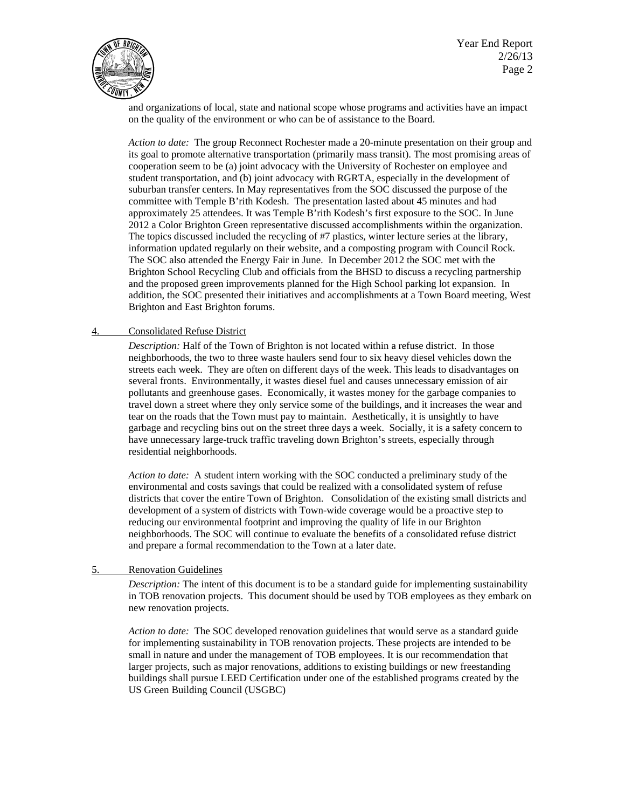Year End Report  $\sqrt{2}/26/13$  $\left[\mathbf{E}(\mathbb{Z}^2) \right]$   $\mathbf{P}$ age 2



and organizations of local, state and national scope whose programs and activities have an impact on the quality of the environment or who can be of assistance to the Board.

*Action to date:* The group Reconnect Rochester made a 20-minute presentation on their group and its goal to promote alternative transportation (primarily mass transit). The most promising areas of cooperation seem to be (a) joint advocacy with the University of Rochester on employee and student transportation, and (b) joint advocacy with RGRTA, especially in the development of suburban transfer centers. In May representatives from the SOC discussed the purpose of the committee with Temple B'rith Kodesh. The presentation lasted about 45 minutes and had approximately 25 attendees. It was Temple B'rith Kodesh's first exposure to the SOC. In June 2012 a Color Brighton Green representative discussed accomplishments within the organization. The topics discussed included the recycling of #7 plastics, winter lecture series at the library, information updated regularly on their website, and a composting program with Council Rock. The SOC also attended the Energy Fair in June. In December 2012 the SOC met with the Brighton School Recycling Club and officials from the BHSD to discuss a recycling partnership and the proposed green improvements planned for the High School parking lot expansion. In addition, the SOC presented their initiatives and accomplishments at a Town Board meeting, West Brighton and East Brighton forums.

#### 4. Consolidated Refuse District

*Description:* Half of the Town of Brighton is not located within a refuse district. In those neighborhoods, the two to three waste haulers send four to six heavy diesel vehicles down the streets each week. They are often on different days of the week. This leads to disadvantages on several fronts. Environmentally, it wastes diesel fuel and causes unnecessary emission of air pollutants and greenhouse gases. Economically, it wastes money for the garbage companies to travel down a street where they only service some of the buildings, and it increases the wear and tear on the roads that the Town must pay to maintain. Aesthetically, it is unsightly to have garbage and recycling bins out on the street three days a week. Socially, it is a safety concern to have unnecessary large-truck traffic traveling down Brighton's streets, especially through residential neighborhoods.

*Action to date:* A student intern working with the SOC conducted a preliminary study of the environmental and costs savings that could be realized with a consolidated system of refuse districts that cover the entire Town of Brighton. Consolidation of the existing small districts and development of a system of districts with Town-wide coverage would be a proactive step to reducing our environmental footprint and improving the quality of life in our Brighton neighborhoods. The SOC will continue to evaluate the benefits of a consolidated refuse district and prepare a formal recommendation to the Town at a later date.

#### 5. Renovation Guidelines

*Description:* The intent of this document is to be a standard guide for implementing sustainability in TOB renovation projects. This document should be used by TOB employees as they embark on new renovation projects.

*Action to date:* The SOC developed renovation guidelines that would serve as a standard guide for implementing sustainability in TOB renovation projects. These projects are intended to be small in nature and under the management of TOB employees. It is our recommendation that larger projects, such as major renovations, additions to existing buildings or new freestanding buildings shall pursue LEED Certification under one of the established programs created by the US Green Building Council (USGBC)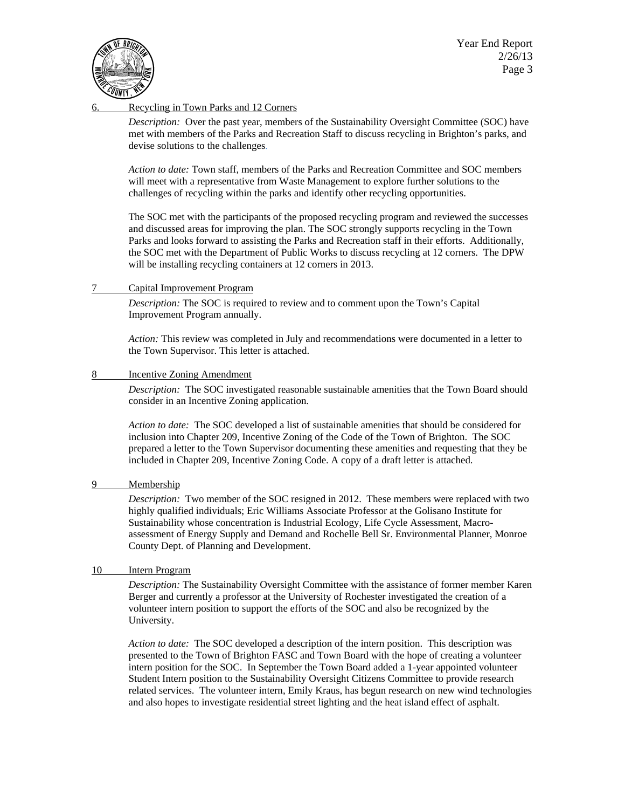Year End Report  $\sqrt{2}/26/13$  $\left[\mathbf{E}(\mathbb{Z}^2) \right]$   $\mathbf{E}$  Page 3



## Recycling in Town Parks and 12 Corners

*Description:* Over the past year, members of the Sustainability Oversight Committee (SOC) have met with members of the Parks and Recreation Staff to discuss recycling in Brighton's parks, and devise solutions to the challenges.

*Action to date:* Town staff, members of the Parks and Recreation Committee and SOC members will meet with a representative from Waste Management to explore further solutions to the challenges of recycling within the parks and identify other recycling opportunities.

The SOC met with the participants of the proposed recycling program and reviewed the successes and discussed areas for improving the plan. The SOC strongly supports recycling in the Town Parks and looks forward to assisting the Parks and Recreation staff in their efforts. Additionally, the SOC met with the Department of Public Works to discuss recycling at 12 corners. The DPW will be installing recycling containers at 12 corners in 2013.

#### 7 Capital Improvement Program

*Description:* The SOC is required to review and to comment upon the Town's Capital Improvement Program annually.

*Action:* This review was completed in July and recommendations were documented in a letter to the Town Supervisor. This letter is attached.

#### 8 Incentive Zoning Amendment

*Description:* The SOC investigated reasonable sustainable amenities that the Town Board should consider in an Incentive Zoning application.

*Action to date:* The SOC developed a list of sustainable amenities that should be considered for inclusion into Chapter 209, Incentive Zoning of the Code of the Town of Brighton. The SOC prepared a letter to the Town Supervisor documenting these amenities and requesting that they be included in Chapter 209, Incentive Zoning Code. A copy of a draft letter is attached.

#### 9 Membership

*Description:* Two member of the SOC resigned in 2012. These members were replaced with two highly qualified individuals; Eric Williams Associate Professor at the Golisano Institute for Sustainability whose concentration is Industrial Ecology, Life Cycle Assessment, Macroassessment of Energy Supply and Demand and Rochelle Bell Sr. Environmental Planner, Monroe County Dept. of Planning and Development.

#### 10 Intern Program

*Description:* The Sustainability Oversight Committee with the assistance of former member Karen Berger and currently a professor at the University of Rochester investigated the creation of a volunteer intern position to support the efforts of the SOC and also be recognized by the University.

*Action to date:* The SOC developed a description of the intern position. This description was presented to the Town of Brighton FASC and Town Board with the hope of creating a volunteer intern position for the SOC. In September the Town Board added a 1-year appointed volunteer Student Intern position to the Sustainability Oversight Citizens Committee to provide research related services. The volunteer intern, Emily Kraus, has begun research on new wind technologies and also hopes to investigate residential street lighting and the heat island effect of asphalt.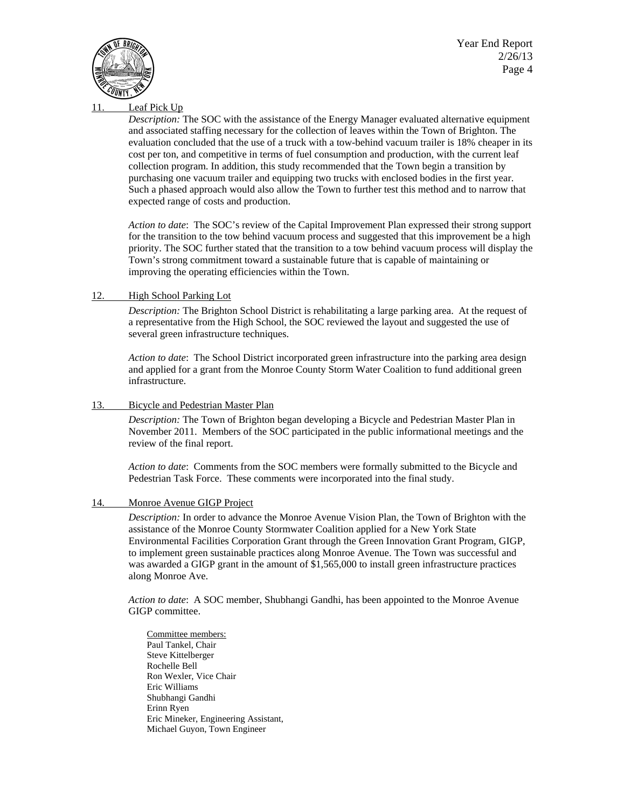Year End Report  $\sqrt{2}/26/13$  $\left[\mathbf{E}(\mathbb{Z}^2) \right]$   $\mathbf{E}$  Page 4



#### Leaf Pick Up

*Description:* The SOC with the assistance of the Energy Manager evaluated alternative equipment and associated staffing necessary for the collection of leaves within the Town of Brighton. The evaluation concluded that the use of a truck with a tow-behind vacuum trailer is 18% cheaper in its cost per ton, and competitive in terms of fuel consumption and production, with the current leaf collection program. In addition, this study recommended that the Town begin a transition by purchasing one vacuum trailer and equipping two trucks with enclosed bodies in the first year. Such a phased approach would also allow the Town to further test this method and to narrow that expected range of costs and production.

*Action to date*: The SOC's review of the Capital Improvement Plan expressed their strong support for the transition to the tow behind vacuum process and suggested that this improvement be a high priority. The SOC further stated that the transition to a tow behind vacuum process will display the Town's strong commitment toward a sustainable future that is capable of maintaining or improving the operating efficiencies within the Town.

#### 12. High School Parking Lot

*Description:* The Brighton School District is rehabilitating a large parking area. At the request of a representative from the High School, the SOC reviewed the layout and suggested the use of several green infrastructure techniques.

*Action to date*: The School District incorporated green infrastructure into the parking area design and applied for a grant from the Monroe County Storm Water Coalition to fund additional green infrastructure.

#### 13. Bicycle and Pedestrian Master Plan

*Description:* The Town of Brighton began developing a Bicycle and Pedestrian Master Plan in November 2011. Members of the SOC participated in the public informational meetings and the review of the final report.

*Action to date*: Comments from the SOC members were formally submitted to the Bicycle and Pedestrian Task Force. These comments were incorporated into the final study.

#### 14. Monroe Avenue GIGP Project

*Description:* In order to advance the Monroe Avenue Vision Plan, the Town of Brighton with the assistance of the Monroe County Stormwater Coalition applied for a New York State Environmental Facilities Corporation Grant through the Green Innovation Grant Program, GIGP, to implement green sustainable practices along Monroe Avenue. The Town was successful and was awarded a GIGP grant in the amount of \$1,565,000 to install green infrastructure practices along Monroe Ave.

*Action to date*: A SOC member, Shubhangi Gandhi, has been appointed to the Monroe Avenue GIGP committee.

 Committee members: Paul Tankel, Chair Steve Kittelberger Rochelle Bell Ron Wexler, Vice Chair Eric Williams Shubhangi Gandhi Erinn Ryen Eric Mineker, Engineering Assistant, Michael Guyon, Town Engineer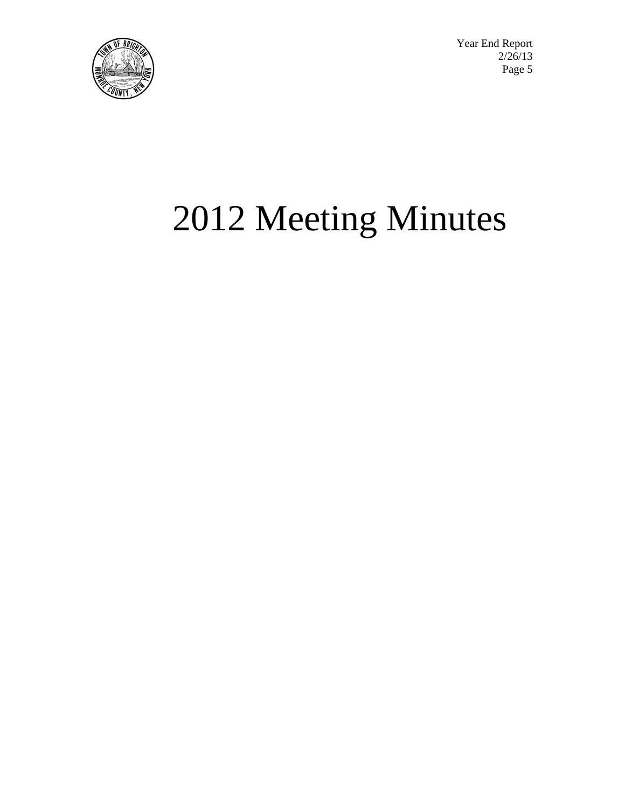

Year End Report<br>2/26/13  $\sqrt{2}/26/13$  $\left[\mathbf{E}(\mathbb{Z}^2) \right]$   $\mathbf{E}$  Page 5

# 2012 Meeting Minutes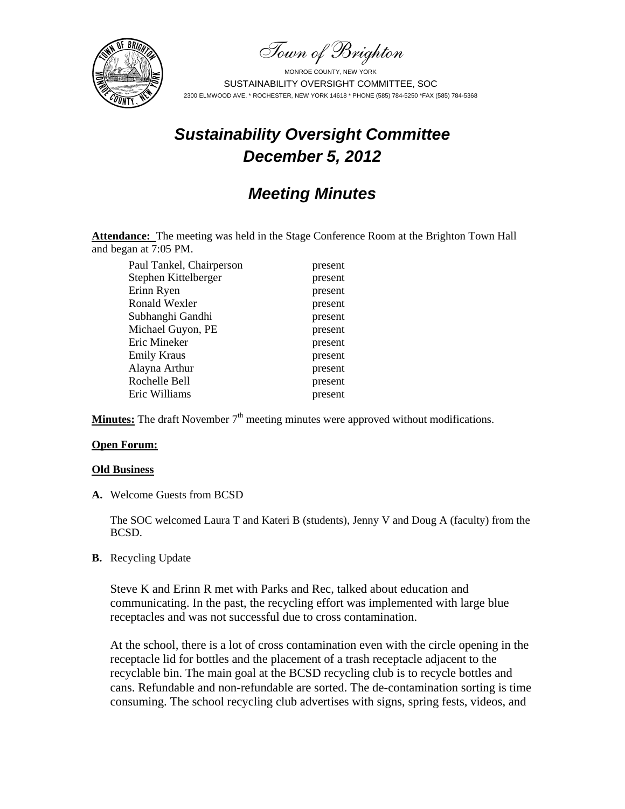Town of Brighton



# *Sustainability Oversight Committee December 5, 2012*

# *Meeting Minutes*

Attendance: The meeting was held in the Stage Conference Room at the Brighton Town Hall and began at 7:05 PM.

Paul Tankel, Chairperson present Stephen Kittelberger present Erinn Ryen present Ronald Wexler present Subhanghi Gandhi present Michael Guyon, PE present Eric Mineker present Emily Kraus present Alayna Arthur present Rochelle Bell present Eric Williams present

**Minutes:** The draft November  $7<sup>th</sup>$  meeting minutes were approved without modifications.

## **Open Forum:**

#### **Old Business**

**A.** Welcome Guests from BCSD

The SOC welcomed Laura T and Kateri B (students), Jenny V and Doug A (faculty) from the BCSD.

**B.** Recycling Update

Steve K and Erinn R met with Parks and Rec, talked about education and communicating. In the past, the recycling effort was implemented with large blue receptacles and was not successful due to cross contamination.

At the school, there is a lot of cross contamination even with the circle opening in the receptacle lid for bottles and the placement of a trash receptacle adjacent to the recyclable bin. The main goal at the BCSD recycling club is to recycle bottles and cans. Refundable and non-refundable are sorted. The de-contamination sorting is time consuming. The school recycling club advertises with signs, spring fests, videos, and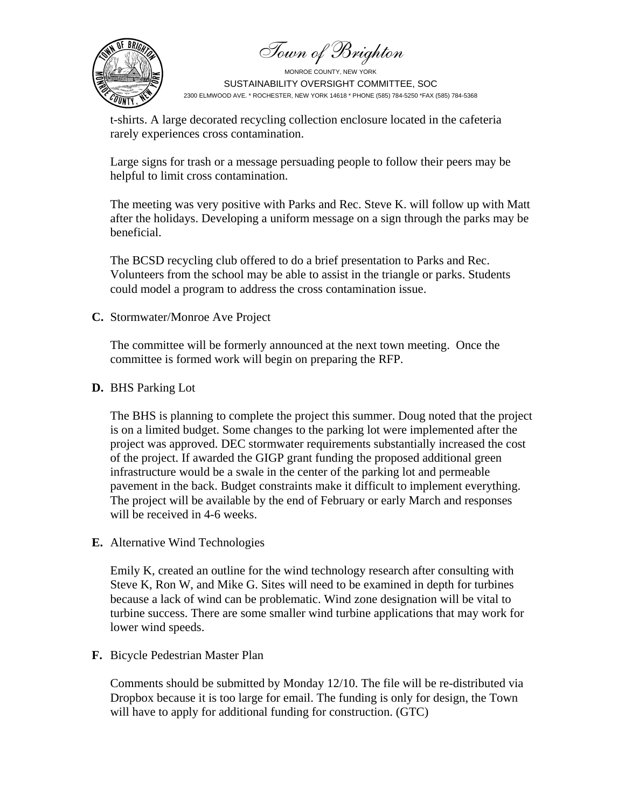Town of Brighton



t-shirts. A large decorated recycling collection enclosure located in the cafeteria rarely experiences cross contamination.

Large signs for trash or a message persuading people to follow their peers may be helpful to limit cross contamination.

The meeting was very positive with Parks and Rec. Steve K. will follow up with Matt after the holidays. Developing a uniform message on a sign through the parks may be beneficial.

The BCSD recycling club offered to do a brief presentation to Parks and Rec. Volunteers from the school may be able to assist in the triangle or parks. Students could model a program to address the cross contamination issue.

# **C.** Stormwater/Monroe Ave Project

The committee will be formerly announced at the next town meeting. Once the committee is formed work will begin on preparing the RFP.

## **D.** BHS Parking Lot

The BHS is planning to complete the project this summer. Doug noted that the project is on a limited budget. Some changes to the parking lot were implemented after the project was approved. DEC stormwater requirements substantially increased the cost of the project. If awarded the GIGP grant funding the proposed additional green infrastructure would be a swale in the center of the parking lot and permeable pavement in the back. Budget constraints make it difficult to implement everything. The project will be available by the end of February or early March and responses will be received in 4-6 weeks.

**E.** Alternative Wind Technologies

Emily K, created an outline for the wind technology research after consulting with Steve K, Ron W, and Mike G. Sites will need to be examined in depth for turbines because a lack of wind can be problematic. Wind zone designation will be vital to turbine success. There are some smaller wind turbine applications that may work for lower wind speeds.

**F.** Bicycle Pedestrian Master Plan

Comments should be submitted by Monday 12/10. The file will be re-distributed via Dropbox because it is too large for email. The funding is only for design, the Town will have to apply for additional funding for construction. (GTC)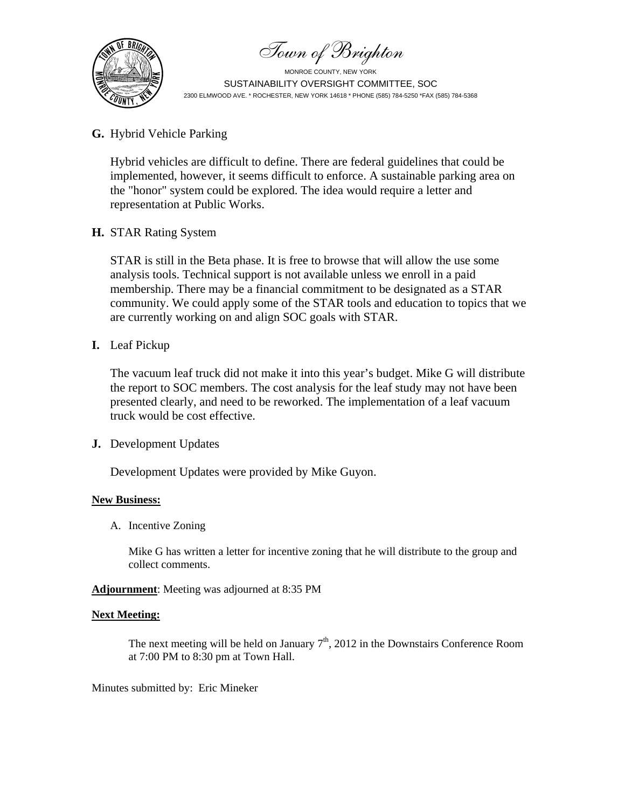Town of Brighton



# **G.** Hybrid Vehicle Parking

Hybrid vehicles are difficult to define. There are federal guidelines that could be implemented, however, it seems difficult to enforce. A sustainable parking area on the "honor" system could be explored. The idea would require a letter and representation at Public Works.

# **H.** STAR Rating System

STAR is still in the Beta phase. It is free to browse that will allow the use some analysis tools. Technical support is not available unless we enroll in a paid membership. There may be a financial commitment to be designated as a STAR community. We could apply some of the STAR tools and education to topics that we are currently working on and align SOC goals with STAR.

# **I.** Leaf Pickup

The vacuum leaf truck did not make it into this year's budget. Mike G will distribute the report to SOC members. The cost analysis for the leaf study may not have been presented clearly, and need to be reworked. The implementation of a leaf vacuum truck would be cost effective.

# **J.** Development Updates

Development Updates were provided by Mike Guyon.

# **New Business:**

A. Incentive Zoning

Mike G has written a letter for incentive zoning that he will distribute to the group and collect comments.

**Adjournment**: Meeting was adjourned at 8:35 PM

## **Next Meeting:**

The next meeting will be held on January  $7<sup>th</sup>$ , 2012 in the Downstairs Conference Room at 7:00 PM to 8:30 pm at Town Hall.

Minutes submitted by: Eric Mineker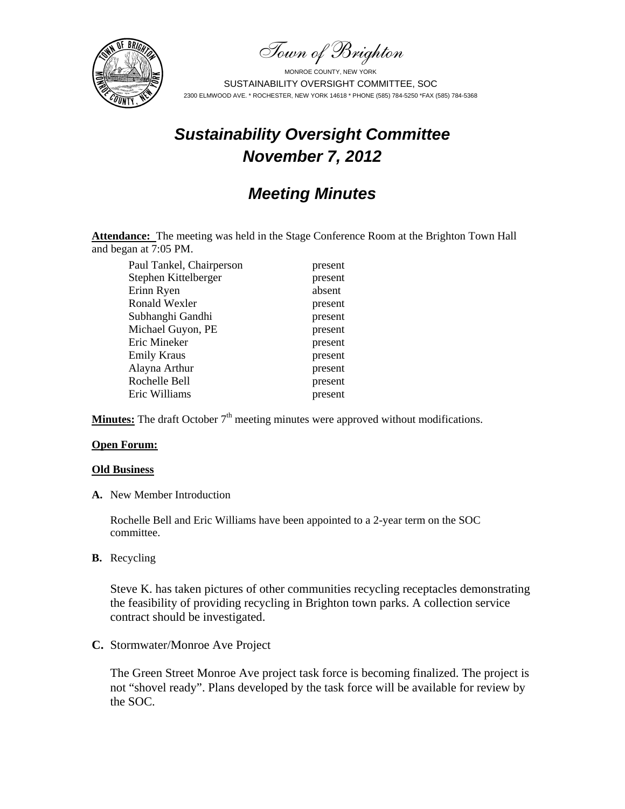Town of Brighton



# *Sustainability Oversight Committee November 7, 2012*

# *Meeting Minutes*

**Attendance:** The meeting was held in the Stage Conference Room at the Brighton Town Hall and began at 7:05 PM.

Paul Tankel, Chairperson present Stephen Kittelberger present Erinn Ryen absent Ronald Wexler present Subhanghi Gandhi present Michael Guyon, PE present Eric Mineker present Emily Kraus present Alayna Arthur present Rochelle Bell present Eric Williams present

**Minutes:** The draft October  $7<sup>th</sup>$  meeting minutes were approved without modifications.

#### **Open Forum:**

#### **Old Business**

**A.** New Member Introduction

Rochelle Bell and Eric Williams have been appointed to a 2-year term on the SOC committee.

**B.** Recycling

Steve K. has taken pictures of other communities recycling receptacles demonstrating the feasibility of providing recycling in Brighton town parks. A collection service contract should be investigated.

## **C.** Stormwater/Monroe Ave Project

The Green Street Monroe Ave project task force is becoming finalized. The project is not "shovel ready". Plans developed by the task force will be available for review by the SOC.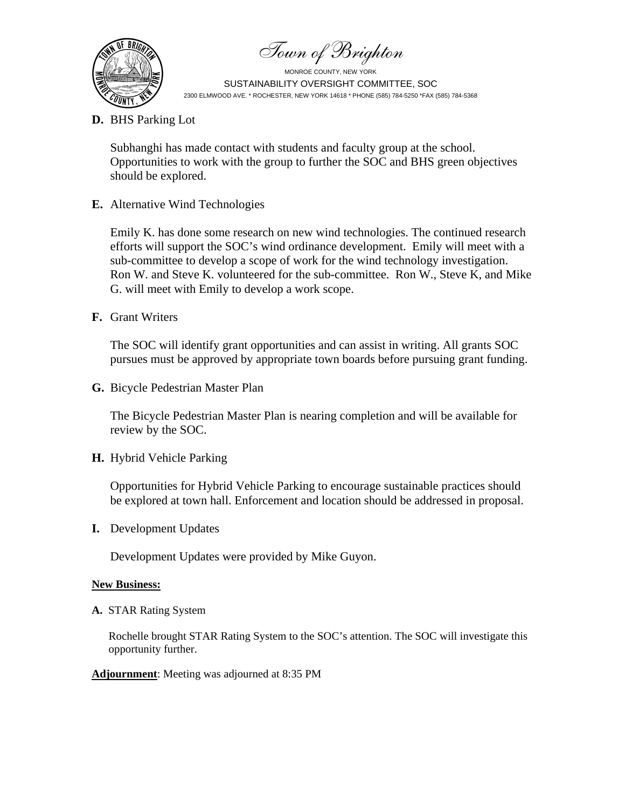Town of Brighton



**D.** BHS Parking Lot

Subhanghi has made contact with students and faculty group at the school. Opportunities to work with the group to further the SOC and BHS green objectives should be explored.

**E.** Alternative Wind Technologies

Emily K. has done some research on new wind technologies. The continued research efforts will support the SOC's wind ordinance development. Emily will meet with a sub-committee to develop a scope of work for the wind technology investigation. Ron W. and Steve K. volunteered for the sub-committee. Ron W., Steve K, and Mike G. will meet with Emily to develop a work scope.

**F.** Grant Writers

The SOC will identify grant opportunities and can assist in writing. All grants SOC pursues must be approved by appropriate town boards before pursuing grant funding.

**G.** Bicycle Pedestrian Master Plan

The Bicycle Pedestrian Master Plan is nearing completion and will be available for review by the SOC.

**H.** Hybrid Vehicle Parking

Opportunities for Hybrid Vehicle Parking to encourage sustainable practices should be explored at town hall. Enforcement and location should be addressed in proposal.

**I.** Development Updates

Development Updates were provided by Mike Guyon.

# **New Business:**

**A.** STAR Rating System

Rochelle brought STAR Rating System to the SOC's attention. The SOC will investigate this opportunity further.

## **Adjournment**: Meeting was adjourned at 8:35 PM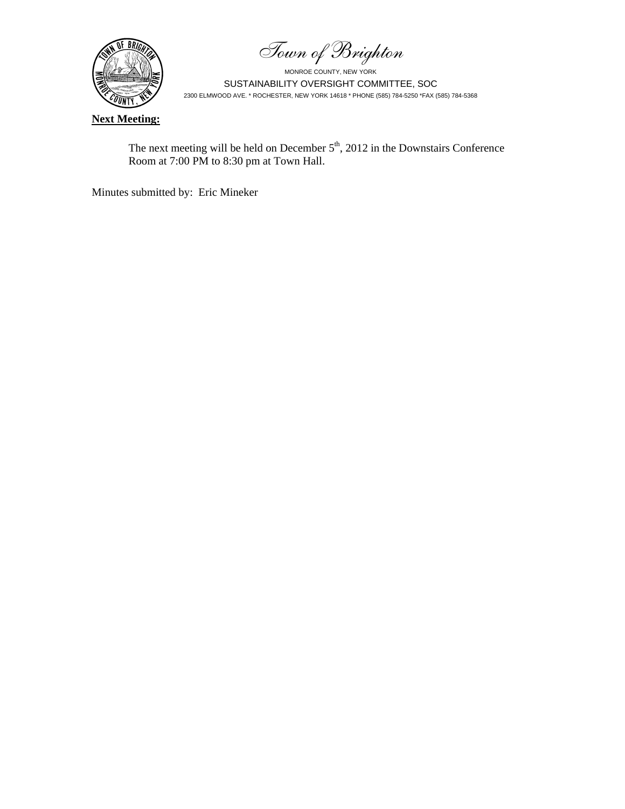Town of Brighton



**Next Meeting:**

The next meeting will be held on December  $5<sup>th</sup>$ , 2012 in the Downstairs Conference Room at 7:00 PM to 8:30 pm at Town Hall.

Minutes submitted by: Eric Mineker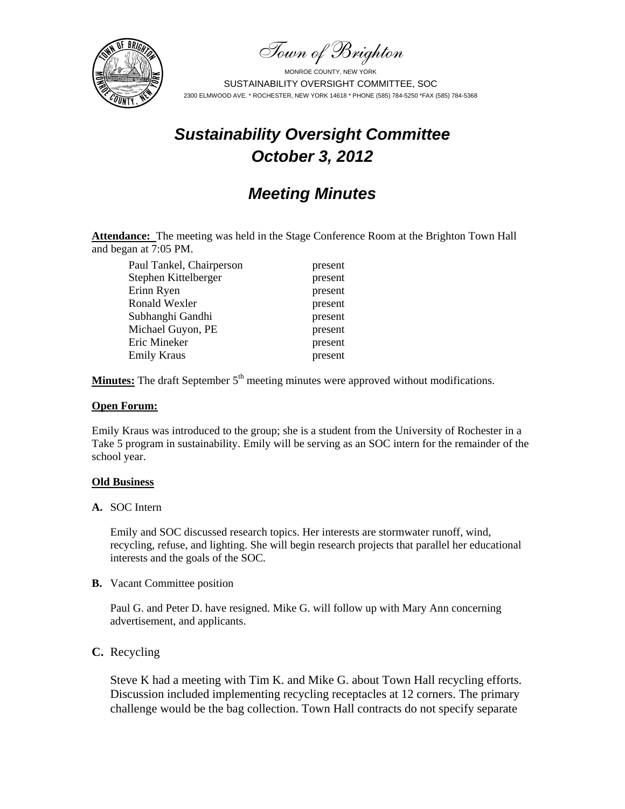Town of Brighton



# *Sustainability Oversight Committee October 3, 2012*

# *Meeting Minutes*

Attendance: The meeting was held in the Stage Conference Room at the Brighton Town Hall and began at 7:05 PM.

Paul Tankel, Chairperson present Stephen Kittelberger present Erinn Ryen present Ronald Wexler present Subhanghi Gandhi present Michael Guyon, PE present Eric Mineker present Emily Kraus present

**Minutes:** The draft September  $5<sup>th</sup>$  meeting minutes were approved without modifications.

#### **Open Forum:**

Emily Kraus was introduced to the group; she is a student from the University of Rochester in a Take 5 program in sustainability. Emily will be serving as an SOC intern for the remainder of the school year.

## **Old Business**

**A.** SOC Intern

Emily and SOC discussed research topics. Her interests are stormwater runoff, wind, recycling, refuse, and lighting. She will begin research projects that parallel her educational interests and the goals of the SOC.

**B.** Vacant Committee position

Paul G. and Peter D. have resigned. Mike G. will follow up with Mary Ann concerning advertisement, and applicants.

**C.** Recycling

Steve K had a meeting with Tim K. and Mike G. about Town Hall recycling efforts. Discussion included implementing recycling receptacles at 12 corners. The primary challenge would be the bag collection. Town Hall contracts do not specify separate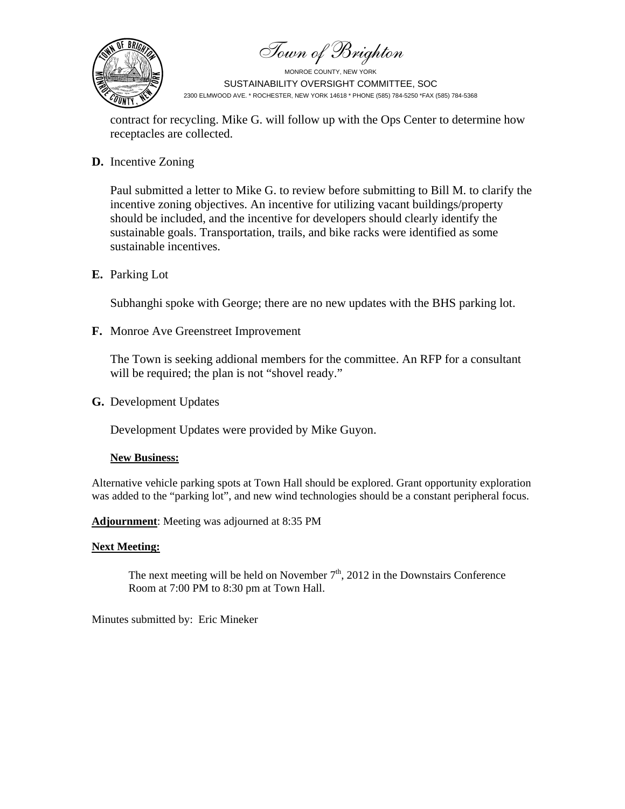Town of Brighton



contract for recycling. Mike G. will follow up with the Ops Center to determine how receptacles are collected.

**D.** Incentive Zoning

Paul submitted a letter to Mike G. to review before submitting to Bill M. to clarify the incentive zoning objectives. An incentive for utilizing vacant buildings/property should be included, and the incentive for developers should clearly identify the sustainable goals. Transportation, trails, and bike racks were identified as some sustainable incentives.

**E.** Parking Lot

Subhanghi spoke with George; there are no new updates with the BHS parking lot.

**F.** Monroe Ave Greenstreet Improvement

The Town is seeking addional members for the committee. An RFP for a consultant will be required; the plan is not "shovel ready."

**G.** Development Updates

Development Updates were provided by Mike Guyon.

## **New Business:**

Alternative vehicle parking spots at Town Hall should be explored. Grant opportunity exploration was added to the "parking lot", and new wind technologies should be a constant peripheral focus.

## **Adjournment**: Meeting was adjourned at 8:35 PM

## **Next Meeting:**

The next meeting will be held on November  $7<sup>th</sup>$ , 2012 in the Downstairs Conference Room at 7:00 PM to 8:30 pm at Town Hall.

Minutes submitted by: Eric Mineker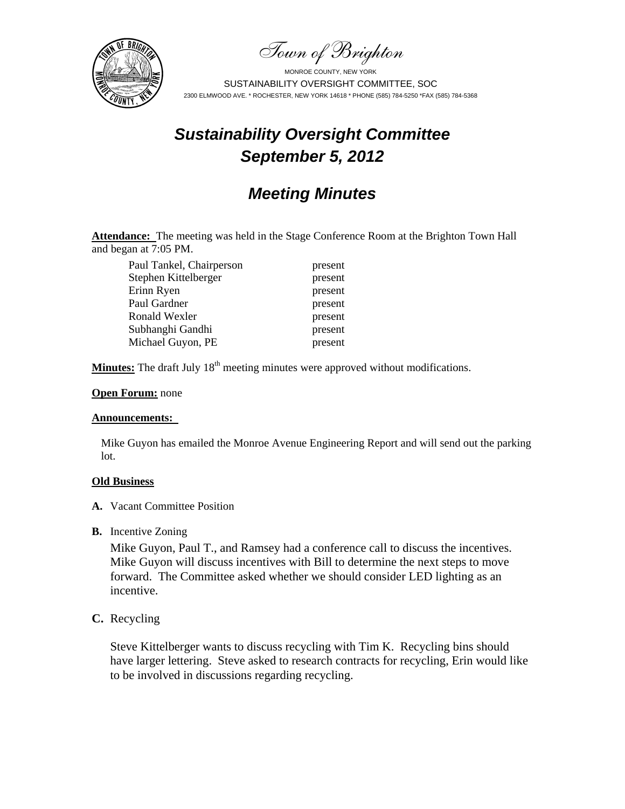Town of Brighton



# *Sustainability Oversight Committee September 5, 2012*

# *Meeting Minutes*

Attendance: The meeting was held in the Stage Conference Room at the Brighton Town Hall and began at 7:05 PM.

Paul Tankel, Chairperson present Stephen Kittelberger present Erinn Ryen present Paul Gardner present Ronald Wexler present Subhanghi Gandhi present Michael Guyon, PE present

**Minutes:** The draft July 18<sup>th</sup> meeting minutes were approved without modifications.

## **Open Forum:** none

#### **Announcements:**

Mike Guyon has emailed the Monroe Avenue Engineering Report and will send out the parking lot.

## **Old Business**

- **A.** Vacant Committee Position
- **B.** Incentive Zoning

Mike Guyon, Paul T., and Ramsey had a conference call to discuss the incentives. Mike Guyon will discuss incentives with Bill to determine the next steps to move forward. The Committee asked whether we should consider LED lighting as an incentive.

# **C.** Recycling

Steve Kittelberger wants to discuss recycling with Tim K. Recycling bins should have larger lettering. Steve asked to research contracts for recycling, Erin would like to be involved in discussions regarding recycling.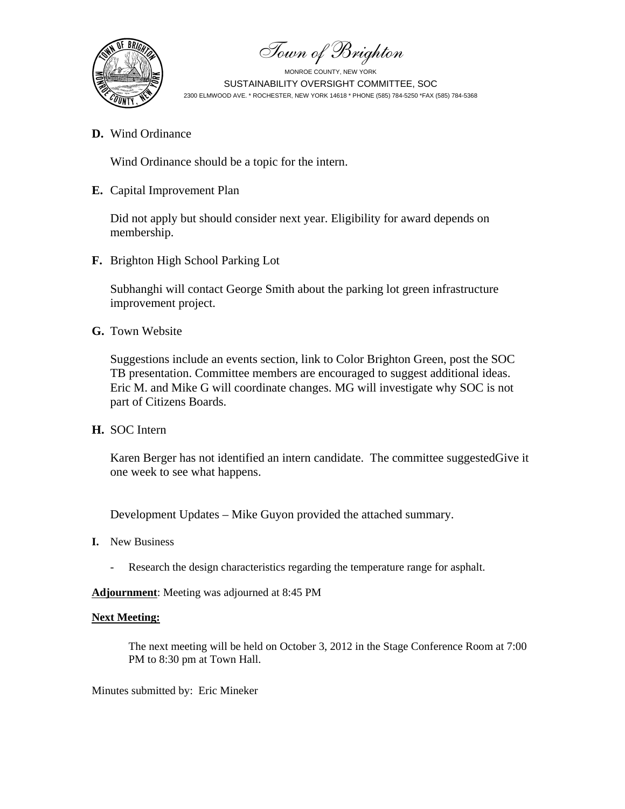

Town of Brighton

**D.** Wind Ordinance

Wind Ordinance should be a topic for the intern.

**E.** Capital Improvement Plan

Did not apply but should consider next year. Eligibility for award depends on membership.

**F.** Brighton High School Parking Lot

Subhanghi will contact George Smith about the parking lot green infrastructure improvement project.

**G.** Town Website

Suggestions include an events section, link to Color Brighton Green, post the SOC TB presentation. Committee members are encouraged to suggest additional ideas. Eric M. and Mike G will coordinate changes. MG will investigate why SOC is not part of Citizens Boards.

**H.** SOC Intern

Karen Berger has not identified an intern candidate. The committee suggestedGive it one week to see what happens.

Development Updates – Mike Guyon provided the attached summary.

- **I.** New Business
	- Research the design characteristics regarding the temperature range for asphalt.

**Adjournment**: Meeting was adjourned at 8:45 PM

## **Next Meeting:**

The next meeting will be held on October 3, 2012 in the Stage Conference Room at 7:00 PM to 8:30 pm at Town Hall.

Minutes submitted by: Eric Mineker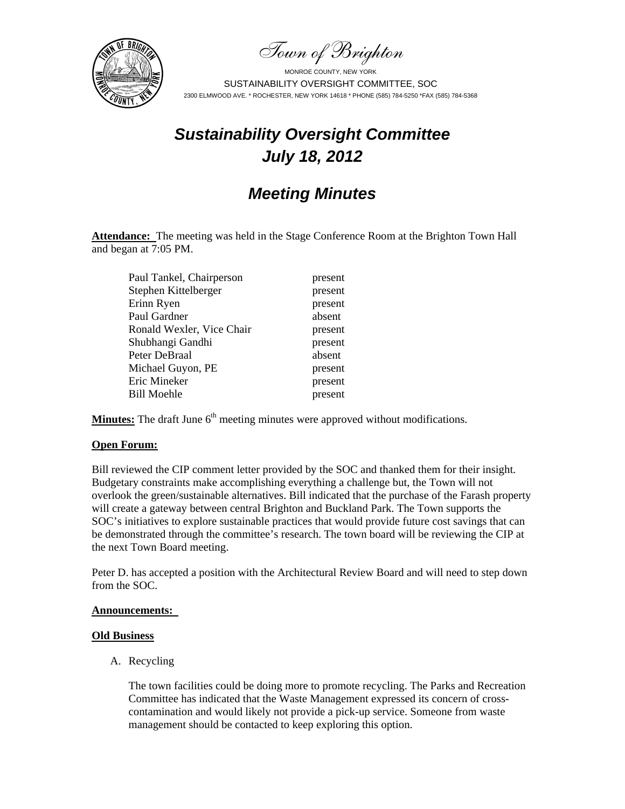Town of Brighton



# *Sustainability Oversight Committee July 18, 2012*

# *Meeting Minutes*

**Attendance:** The meeting was held in the Stage Conference Room at the Brighton Town Hall and began at 7:05 PM.

| Paul Tankel, Chairperson  | present |
|---------------------------|---------|
| Stephen Kittelberger      | present |
| Erinn Ryen                | present |
| Paul Gardner              | absent  |
| Ronald Wexler, Vice Chair | present |
| Shubhangi Gandhi          | present |
| Peter DeBraal             | absent  |
| Michael Guyon, PE         | present |
| Eric Mineker              | present |
| <b>Bill Moehle</b>        | present |
|                           |         |

**Minutes:** The draft June 6<sup>th</sup> meeting minutes were approved without modifications.

#### **Open Forum:**

Bill reviewed the CIP comment letter provided by the SOC and thanked them for their insight. Budgetary constraints make accomplishing everything a challenge but, the Town will not overlook the green/sustainable alternatives. Bill indicated that the purchase of the Farash property will create a gateway between central Brighton and Buckland Park. The Town supports the SOC's initiatives to explore sustainable practices that would provide future cost savings that can be demonstrated through the committee's research. The town board will be reviewing the CIP at the next Town Board meeting.

Peter D. has accepted a position with the Architectural Review Board and will need to step down from the SOC.

#### **Announcements:**

#### **Old Business**

A. Recycling

The town facilities could be doing more to promote recycling. The Parks and Recreation Committee has indicated that the Waste Management expressed its concern of crosscontamination and would likely not provide a pick-up service. Someone from waste management should be contacted to keep exploring this option.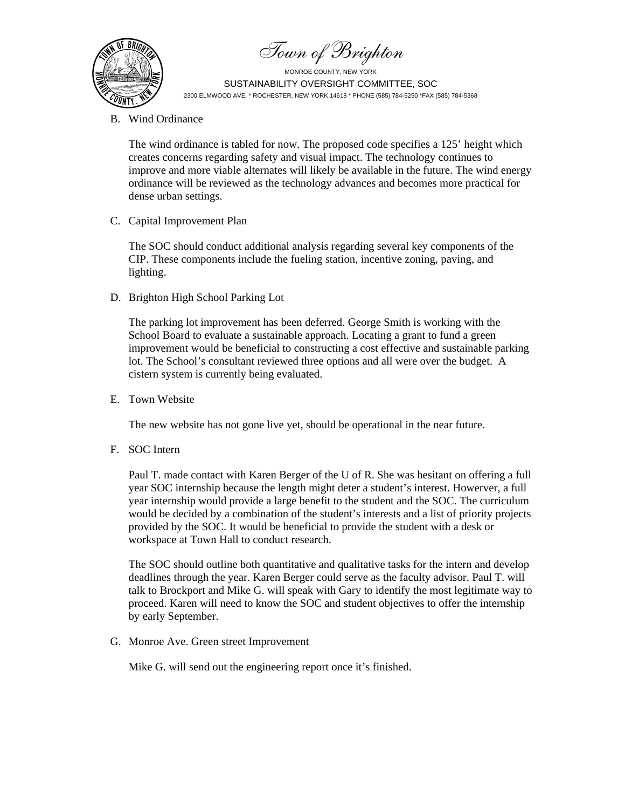Town of Brighton



B. Wind Ordinance

The wind ordinance is tabled for now. The proposed code specifies a 125' height which creates concerns regarding safety and visual impact. The technology continues to improve and more viable alternates will likely be available in the future. The wind energy ordinance will be reviewed as the technology advances and becomes more practical for dense urban settings.

C. Capital Improvement Plan

The SOC should conduct additional analysis regarding several key components of the CIP. These components include the fueling station, incentive zoning, paving, and lighting.

D. Brighton High School Parking Lot

The parking lot improvement has been deferred. George Smith is working with the School Board to evaluate a sustainable approach. Locating a grant to fund a green improvement would be beneficial to constructing a cost effective and sustainable parking lot. The School's consultant reviewed three options and all were over the budget. A cistern system is currently being evaluated.

E. Town Website

The new website has not gone live yet, should be operational in the near future.

F. SOC Intern

Paul T. made contact with Karen Berger of the U of R. She was hesitant on offering a full year SOC internship because the length might deter a student's interest. Howerver, a full year internship would provide a large benefit to the student and the SOC. The curriculum would be decided by a combination of the student's interests and a list of priority projects provided by the SOC. It would be beneficial to provide the student with a desk or workspace at Town Hall to conduct research.

The SOC should outline both quantitative and qualitative tasks for the intern and develop deadlines through the year. Karen Berger could serve as the faculty advisor. Paul T. will talk to Brockport and Mike G. will speak with Gary to identify the most legitimate way to proceed. Karen will need to know the SOC and student objectives to offer the internship by early September.

G. Monroe Ave. Green street Improvement

Mike G. will send out the engineering report once it's finished.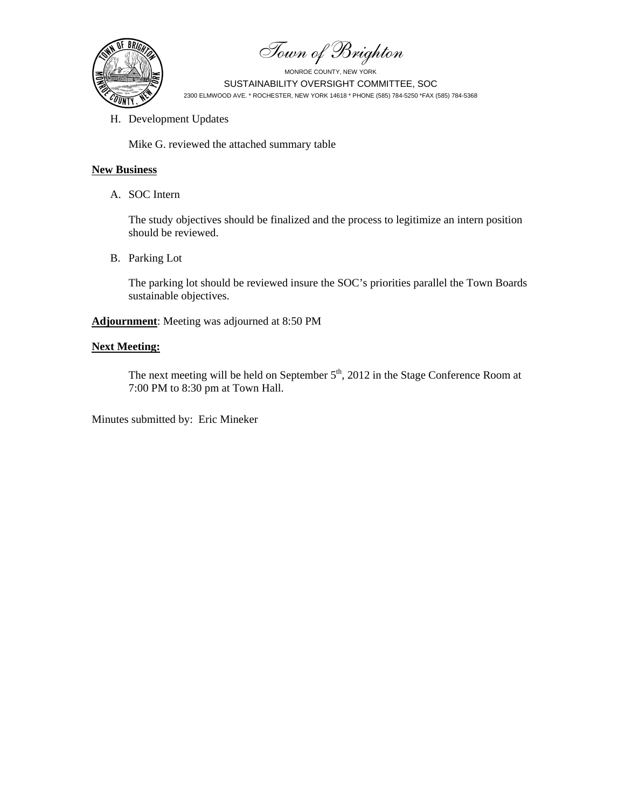Town of Brighton



H. Development Updates

Mike G. reviewed the attached summary table

## **New Business**

A. SOC Intern

The study objectives should be finalized and the process to legitimize an intern position should be reviewed.

B. Parking Lot

The parking lot should be reviewed insure the SOC's priorities parallel the Town Boards sustainable objectives.

**Adjournment**: Meeting was adjourned at 8:50 PM

## **Next Meeting:**

The next meeting will be held on September 5<sup>th</sup>, 2012 in the Stage Conference Room at 7:00 PM to 8:30 pm at Town Hall.

Minutes submitted by: Eric Mineker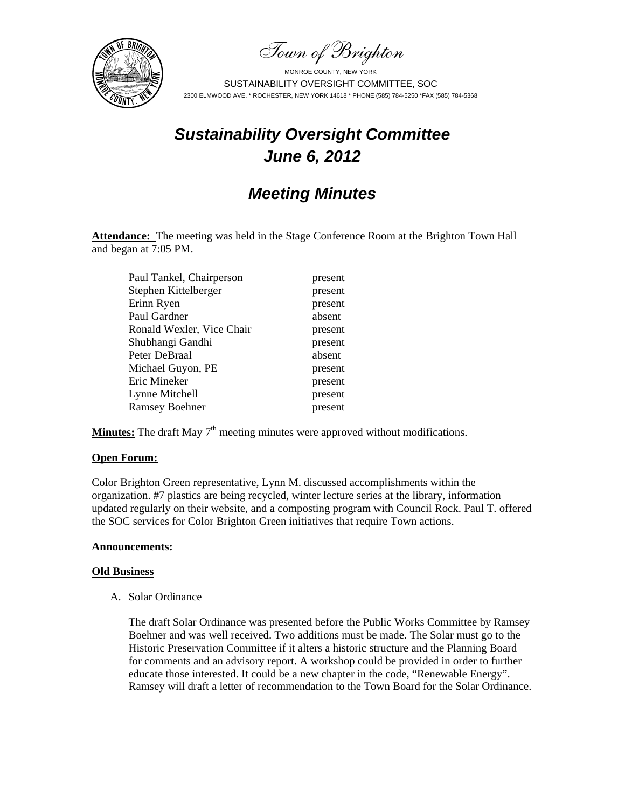Town of Brighton



# *Sustainability Oversight Committee June 6, 2012*

# *Meeting Minutes*

Attendance: The meeting was held in the Stage Conference Room at the Brighton Town Hall and began at 7:05 PM.

| Paul Tankel, Chairperson  | present |
|---------------------------|---------|
| Stephen Kittelberger      | present |
| Erinn Ryen                | present |
| Paul Gardner              | absent  |
| Ronald Wexler, Vice Chair | present |
| Shubhangi Gandhi          | present |
| Peter DeBraal             | absent  |
| Michael Guyon, PE         | present |
| Eric Mineker              | present |
| Lynne Mitchell            | present |
| <b>Ramsey Boehner</b>     | present |

**Minutes:** The draft May  $7<sup>th</sup>$  meeting minutes were approved without modifications.

#### **Open Forum:**

Color Brighton Green representative, Lynn M. discussed accomplishments within the organization. #7 plastics are being recycled, winter lecture series at the library, information updated regularly on their website, and a composting program with Council Rock. Paul T. offered the SOC services for Color Brighton Green initiatives that require Town actions.

#### **Announcements:**

#### **Old Business**

A. Solar Ordinance

The draft Solar Ordinance was presented before the Public Works Committee by Ramsey Boehner and was well received. Two additions must be made. The Solar must go to the Historic Preservation Committee if it alters a historic structure and the Planning Board for comments and an advisory report. A workshop could be provided in order to further educate those interested. It could be a new chapter in the code, "Renewable Energy". Ramsey will draft a letter of recommendation to the Town Board for the Solar Ordinance.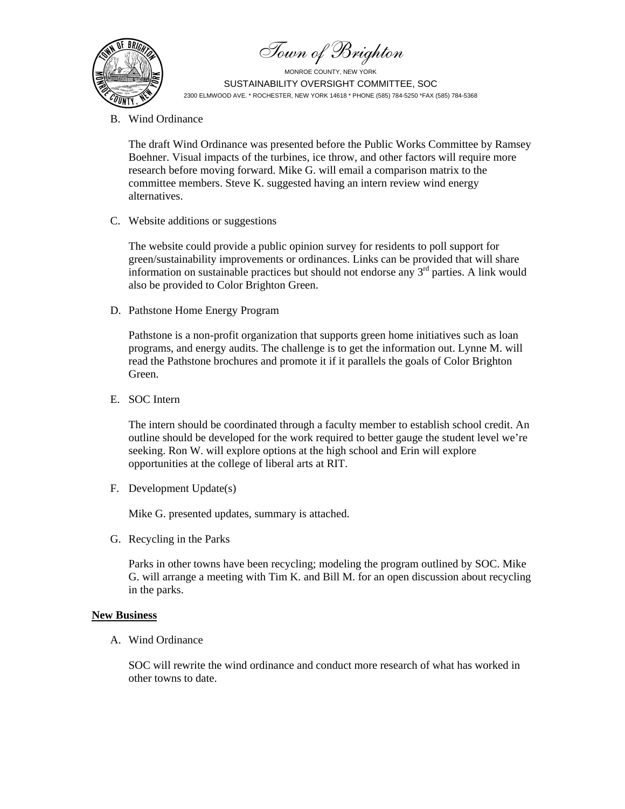Town of Brighton



B. Wind Ordinance

The draft Wind Ordinance was presented before the Public Works Committee by Ramsey Boehner. Visual impacts of the turbines, ice throw, and other factors will require more research before moving forward. Mike G. will email a comparison matrix to the committee members. Steve K. suggested having an intern review wind energy alternatives.

C. Website additions or suggestions

The website could provide a public opinion survey for residents to poll support for green/sustainability improvements or ordinances. Links can be provided that will share information on sustainable practices but should not endorse any  $3<sup>rd</sup>$  parties. A link would also be provided to Color Brighton Green.

D. Pathstone Home Energy Program

Pathstone is a non-profit organization that supports green home initiatives such as loan programs, and energy audits. The challenge is to get the information out. Lynne M. will read the Pathstone brochures and promote it if it parallels the goals of Color Brighton Green.

E. SOC Intern

The intern should be coordinated through a faculty member to establish school credit. An outline should be developed for the work required to better gauge the student level we're seeking. Ron W. will explore options at the high school and Erin will explore opportunities at the college of liberal arts at RIT.

F. Development Update(s)

Mike G. presented updates, summary is attached.

G. Recycling in the Parks

Parks in other towns have been recycling; modeling the program outlined by SOC. Mike G. will arrange a meeting with Tim K. and Bill M. for an open discussion about recycling in the parks.

## **New Business**

A. Wind Ordinance

SOC will rewrite the wind ordinance and conduct more research of what has worked in other towns to date.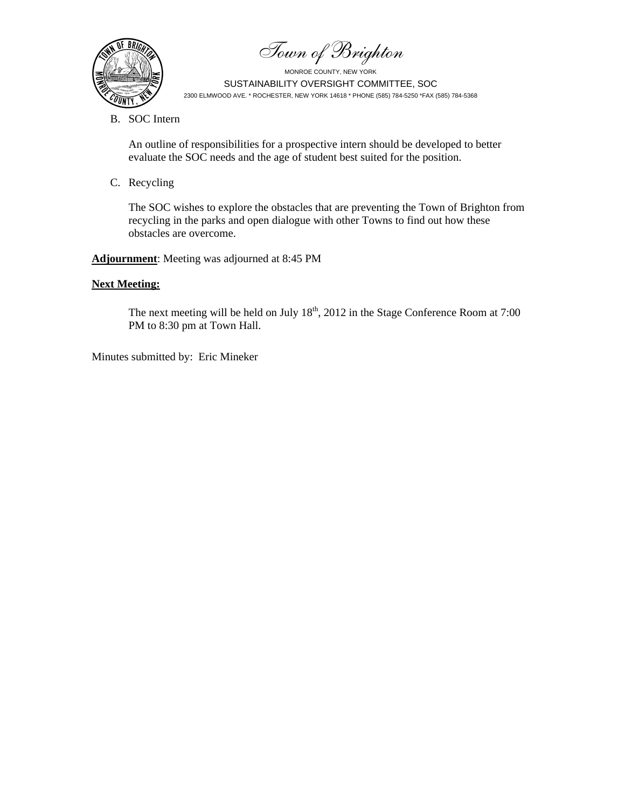Town of Brighton



B. SOC Intern

An outline of responsibilities for a prospective intern should be developed to better evaluate the SOC needs and the age of student best suited for the position.

C. Recycling

The SOC wishes to explore the obstacles that are preventing the Town of Brighton from recycling in the parks and open dialogue with other Towns to find out how these obstacles are overcome.

**Adjournment**: Meeting was adjourned at 8:45 PM

# **Next Meeting:**

The next meeting will be held on July  $18<sup>th</sup>$ , 2012 in the Stage Conference Room at 7:00 PM to 8:30 pm at Town Hall.

Minutes submitted by: Eric Mineker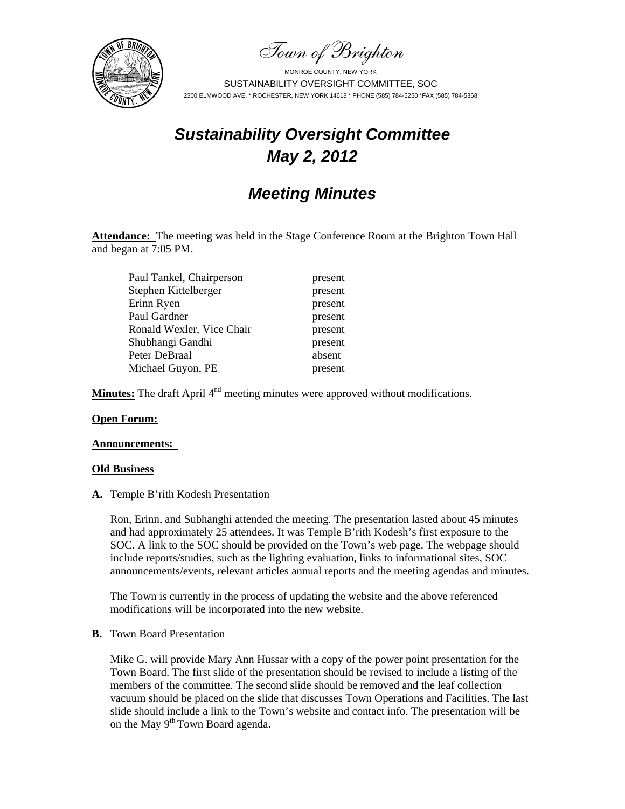Town of Brighton



# *Sustainability Oversight Committee May 2, 2012*

# *Meeting Minutes*

**Attendance:** The meeting was held in the Stage Conference Room at the Brighton Town Hall and began at 7:05 PM.

> present present present present present present absent present

| Paul Tankel, Chairperson  |
|---------------------------|
| Stephen Kittelberger      |
| Erinn Ryen                |
| Paul Gardner              |
| Ronald Wexler, Vice Chair |
| Shubhangi Gandhi          |
| Peter DeBraal             |
| Michael Guyon, PE         |
|                           |

**Minutes:** The draft April 4<sup>nd</sup> meeting minutes were approved without modifications.

## **Open Forum:**

#### **Announcements:**

#### **Old Business**

**A.** Temple B'rith Kodesh Presentation

Ron, Erinn, and Subhanghi attended the meeting. The presentation lasted about 45 minutes and had approximately 25 attendees. It was Temple B'rith Kodesh's first exposure to the SOC. A link to the SOC should be provided on the Town's web page. The webpage should include reports/studies, such as the lighting evaluation, links to informational sites, SOC announcements/events, relevant articles annual reports and the meeting agendas and minutes.

The Town is currently in the process of updating the website and the above referenced modifications will be incorporated into the new website.

**B.** Town Board Presentation

Mike G. will provide Mary Ann Hussar with a copy of the power point presentation for the Town Board. The first slide of the presentation should be revised to include a listing of the members of the committee. The second slide should be removed and the leaf collection vacuum should be placed on the slide that discusses Town Operations and Facilities. The last slide should include a link to the Town's website and contact info. The presentation will be on the May 9<sup>th</sup> Town Board agenda.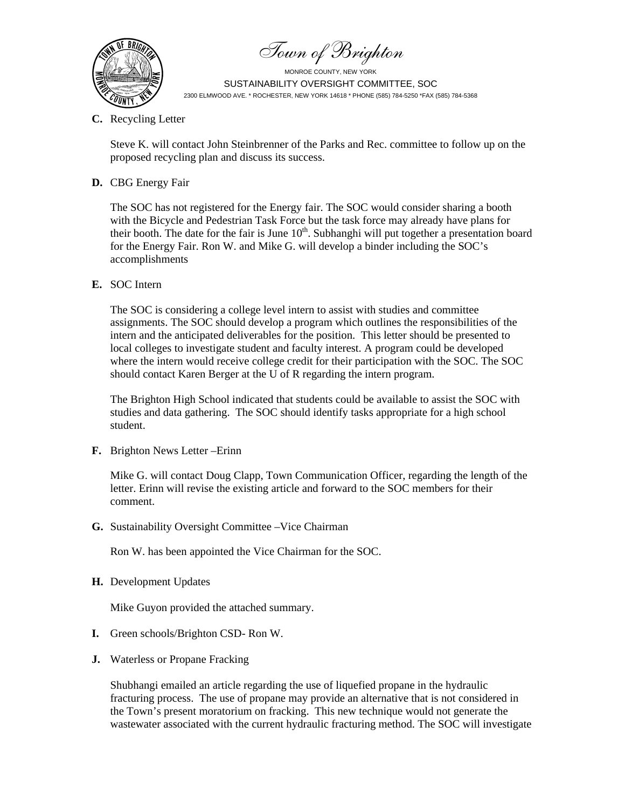Town of Brighton



**C.** Recycling Letter

Steve K. will contact John Steinbrenner of the Parks and Rec. committee to follow up on the proposed recycling plan and discuss its success.

## **D.** CBG Energy Fair

The SOC has not registered for the Energy fair. The SOC would consider sharing a booth with the Bicycle and Pedestrian Task Force but the task force may already have plans for their booth. The date for the fair is June  $10<sup>th</sup>$ . Subhanghi will put together a presentation board for the Energy Fair. Ron W. and Mike G. will develop a binder including the SOC's accomplishments

**E.** SOC Intern

The SOC is considering a college level intern to assist with studies and committee assignments. The SOC should develop a program which outlines the responsibilities of the intern and the anticipated deliverables for the position. This letter should be presented to local colleges to investigate student and faculty interest. A program could be developed where the intern would receive college credit for their participation with the SOC. The SOC should contact Karen Berger at the U of R regarding the intern program.

The Brighton High School indicated that students could be available to assist the SOC with studies and data gathering. The SOC should identify tasks appropriate for a high school student.

**F.** Brighton News Letter –Erinn

Mike G. will contact Doug Clapp, Town Communication Officer, regarding the length of the letter. Erinn will revise the existing article and forward to the SOC members for their comment.

**G.** Sustainability Oversight Committee –Vice Chairman

Ron W. has been appointed the Vice Chairman for the SOC.

**H.** Development Updates

Mike Guyon provided the attached summary.

- **I.** Green schools/Brighton CSD- Ron W.
- **J.** Waterless or Propane Fracking

Shubhangi emailed an article regarding the use of liquefied propane in the hydraulic fracturing process. The use of propane may provide an alternative that is not considered in the Town's present moratorium on fracking. This new technique would not generate the wastewater associated with the current hydraulic fracturing method. The SOC will investigate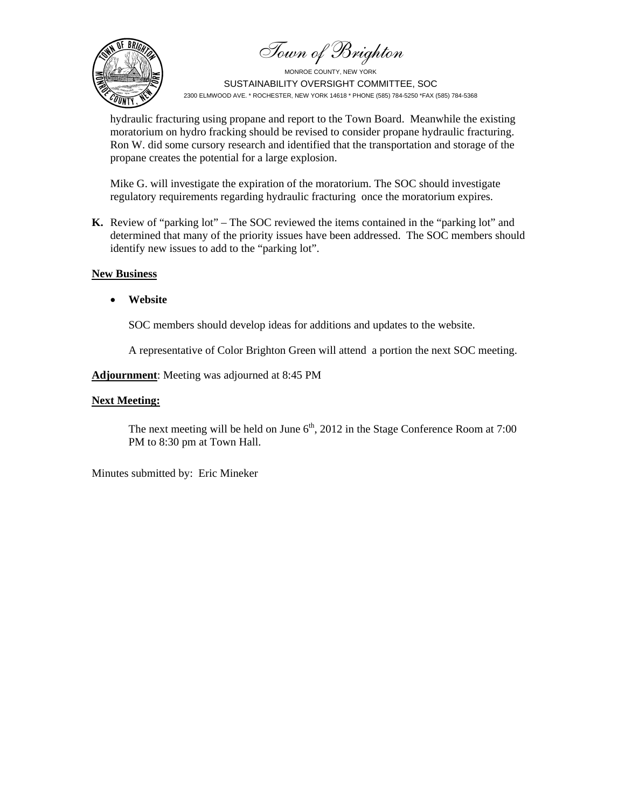Town of Brighton



MONROE COUNTY, NEW YORK SUSTAINABILITY OVERSIGHT COMMITTEE, SOC 2300 ELMWOOD AVE. \* ROCHESTER, NEW YORK 14618 \* PHONE (585) 784-5250 \*FAX (585) 784-5368

hydraulic fracturing using propane and report to the Town Board. Meanwhile the existing moratorium on hydro fracking should be revised to consider propane hydraulic fracturing. Ron W. did some cursory research and identified that the transportation and storage of the propane creates the potential for a large explosion.

Mike G. will investigate the expiration of the moratorium. The SOC should investigate regulatory requirements regarding hydraulic fracturing once the moratorium expires.

**K.** Review of "parking lot" – The SOC reviewed the items contained in the "parking lot" and determined that many of the priority issues have been addressed. The SOC members should identify new issues to add to the "parking lot".

#### **New Business**

**Website** 

SOC members should develop ideas for additions and updates to the website.

A representative of Color Brighton Green will attend a portion the next SOC meeting.

**Adjournment**: Meeting was adjourned at 8:45 PM

#### **Next Meeting:**

The next meeting will be held on June  $6<sup>th</sup>$ , 2012 in the Stage Conference Room at 7:00 PM to 8:30 pm at Town Hall.

Minutes submitted by: Eric Mineker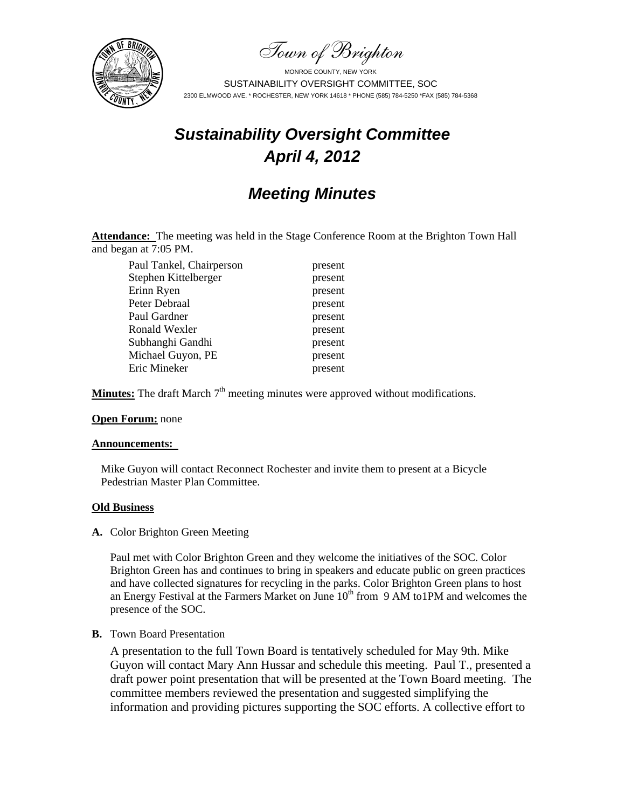Town of Brighton



# *Sustainability Oversight Committee April 4, 2012*

# *Meeting Minutes*

**Attendance:** The meeting was held in the Stage Conference Room at the Brighton Town Hall and began at 7:05 PM.

Paul Tankel, Chairperson present Stephen Kittelberger present Erinn Ryen present Peter Debraal present Paul Gardner present Ronald Wexler present Subhanghi Gandhi present Michael Guyon, PE present Eric Mineker present

**Minutes:** The draft March  $7<sup>th</sup>$  meeting minutes were approved without modifications.

## **Open Forum:** none

#### **Announcements:**

Mike Guyon will contact Reconnect Rochester and invite them to present at a Bicycle Pedestrian Master Plan Committee.

#### **Old Business**

**A.** Color Brighton Green Meeting

Paul met with Color Brighton Green and they welcome the initiatives of the SOC. Color Brighton Green has and continues to bring in speakers and educate public on green practices and have collected signatures for recycling in the parks. Color Brighton Green plans to host an Energy Festival at the Farmers Market on June  $10<sup>th</sup>$  from 9 AM to1PM and welcomes the presence of the SOC.

## **B.** Town Board Presentation

A presentation to the full Town Board is tentatively scheduled for May 9th. Mike Guyon will contact Mary Ann Hussar and schedule this meeting. Paul T., presented a draft power point presentation that will be presented at the Town Board meeting. The committee members reviewed the presentation and suggested simplifying the information and providing pictures supporting the SOC efforts. A collective effort to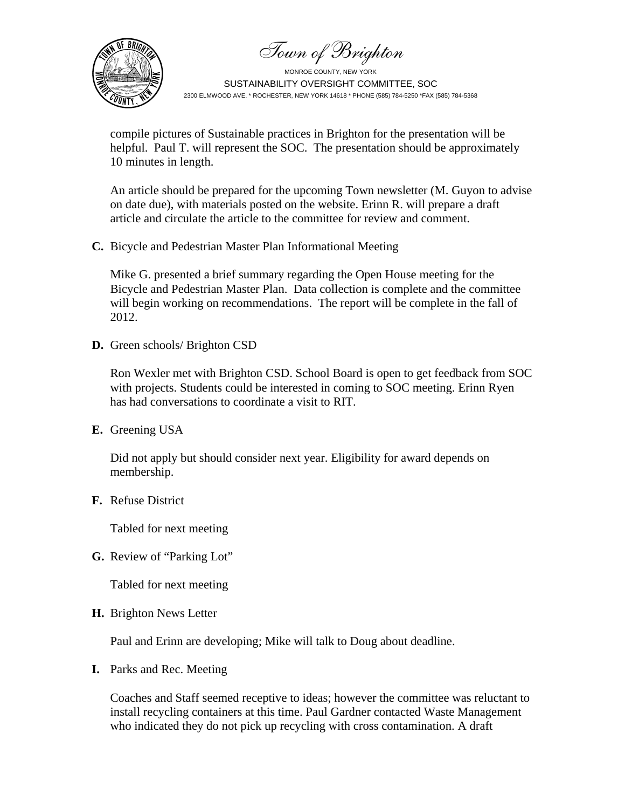Town of Brighton



MONROE COUNTY, NEW YORK SUSTAINABILITY OVERSIGHT COMMITTEE, SOC 2300 ELMWOOD AVE. \* ROCHESTER, NEW YORK 14618 \* PHONE (585) 784-5250 \*FAX (585) 784-5368

compile pictures of Sustainable practices in Brighton for the presentation will be helpful. Paul T. will represent the SOC. The presentation should be approximately 10 minutes in length.

An article should be prepared for the upcoming Town newsletter (M. Guyon to advise on date due), with materials posted on the website. Erinn R. will prepare a draft article and circulate the article to the committee for review and comment.

**C.** Bicycle and Pedestrian Master Plan Informational Meeting

Mike G. presented a brief summary regarding the Open House meeting for the Bicycle and Pedestrian Master Plan. Data collection is complete and the committee will begin working on recommendations. The report will be complete in the fall of 2012.

**D.** Green schools/ Brighton CSD

Ron Wexler met with Brighton CSD. School Board is open to get feedback from SOC with projects. Students could be interested in coming to SOC meeting. Erinn Ryen has had conversations to coordinate a visit to RIT.

**E.** Greening USA

Did not apply but should consider next year. Eligibility for award depends on membership.

**F.** Refuse District

Tabled for next meeting

**G.** Review of "Parking Lot"

Tabled for next meeting

**H.** Brighton News Letter

Paul and Erinn are developing; Mike will talk to Doug about deadline.

**I.** Parks and Rec. Meeting

Coaches and Staff seemed receptive to ideas; however the committee was reluctant to install recycling containers at this time. Paul Gardner contacted Waste Management who indicated they do not pick up recycling with cross contamination. A draft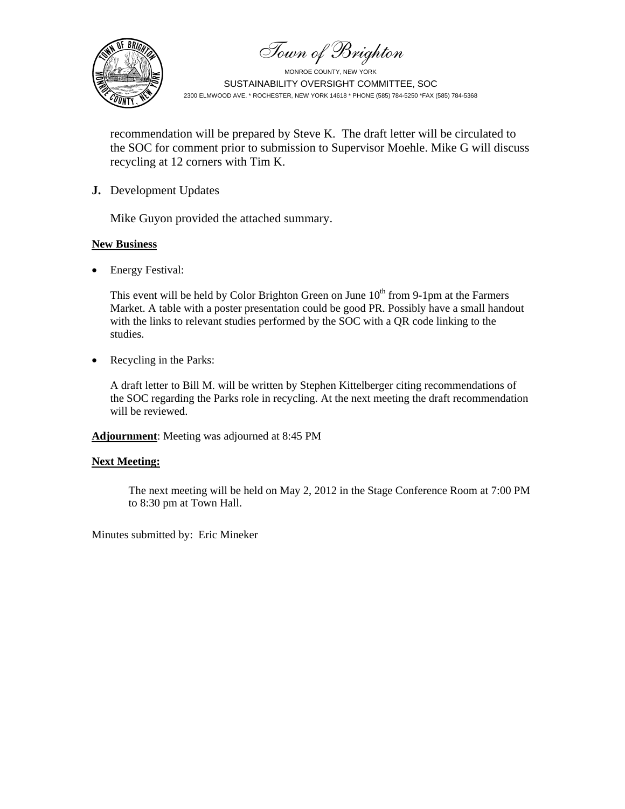Town of Brighton



MONROE COUNTY, NEW YORK SUSTAINABILITY OVERSIGHT COMMITTEE, SOC 2300 ELMWOOD AVE. \* ROCHESTER, NEW YORK 14618 \* PHONE (585) 784-5250 \*FAX (585) 784-5368

recommendation will be prepared by Steve K. The draft letter will be circulated to the SOC for comment prior to submission to Supervisor Moehle. Mike G will discuss recycling at 12 corners with Tim K.

**J.** Development Updates

Mike Guyon provided the attached summary.

## **New Business**

• Energy Festival:

This event will be held by Color Brighton Green on June  $10<sup>th</sup>$  from 9-1pm at the Farmers Market. A table with a poster presentation could be good PR. Possibly have a small handout with the links to relevant studies performed by the SOC with a QR code linking to the studies.

• Recycling in the Parks:

A draft letter to Bill M. will be written by Stephen Kittelberger citing recommendations of the SOC regarding the Parks role in recycling. At the next meeting the draft recommendation will be reviewed.

**Adjournment**: Meeting was adjourned at 8:45 PM

## **Next Meeting:**

The next meeting will be held on May 2, 2012 in the Stage Conference Room at 7:00 PM to 8:30 pm at Town Hall.

Minutes submitted by: Eric Mineker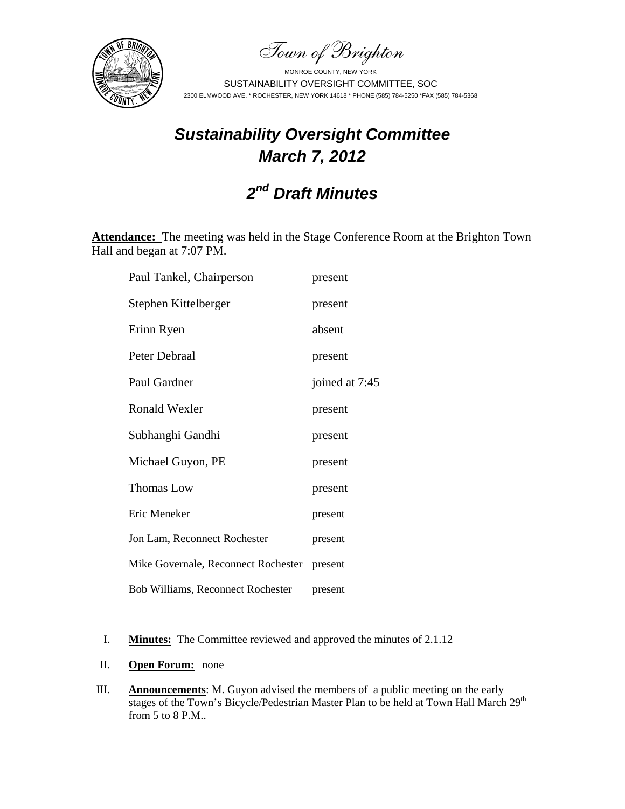Town of Brighton



# *Sustainability Oversight Committee March 7, 2012*

# *2nd Draft Minutes*

**Attendance:** The meeting was held in the Stage Conference Room at the Brighton Town Hall and began at 7:07 PM.

| Paul Tankel, Chairperson                 | present        |
|------------------------------------------|----------------|
| Stephen Kittelberger                     | present        |
| Erinn Ryen                               | absent         |
| Peter Debraal                            | present        |
| Paul Gardner                             | joined at 7:45 |
| <b>Ronald Wexler</b>                     | present        |
| Subhanghi Gandhi                         | present        |
| Michael Guyon, PE                        | present        |
| <b>Thomas Low</b>                        | present        |
| Eric Meneker                             | present        |
| Jon Lam, Reconnect Rochester             | present        |
| Mike Governale, Reconnect Rochester      | present        |
| <b>Bob Williams, Reconnect Rochester</b> | present        |

- I. **Minutes:** The Committee reviewed and approved the minutes of 2.1.12
- II. **Open Forum:** none
- III. **Announcements**: M. Guyon advised the members of a public meeting on the early stages of the Town's Bicycle/Pedestrian Master Plan to be held at Town Hall March 29<sup>th</sup> from 5 to 8 P.M..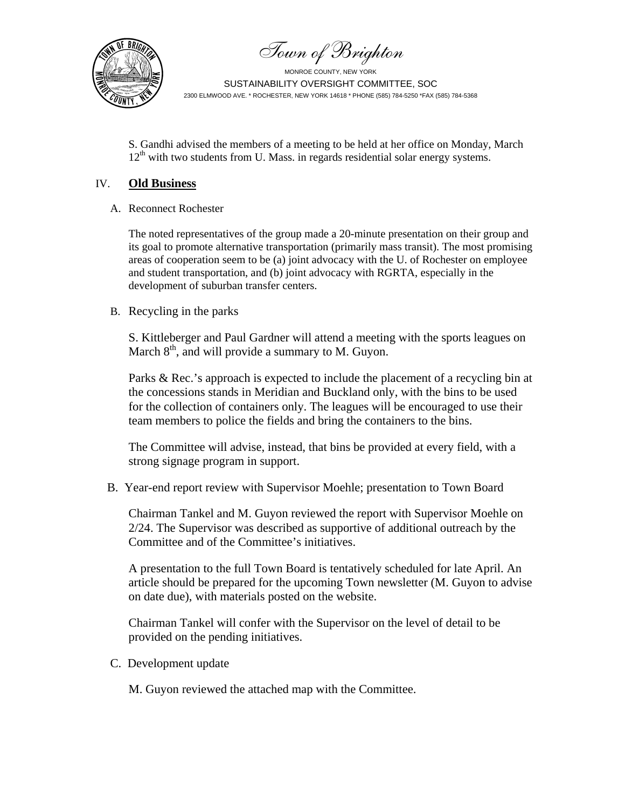Town of Brighton



S. Gandhi advised the members of a meeting to be held at her office on Monday, March  $12<sup>th</sup>$  with two students from U. Mass. in regards residential solar energy systems.

## IV. **Old Business**

A. Reconnect Rochester

The noted representatives of the group made a 20-minute presentation on their group and its goal to promote alternative transportation (primarily mass transit). The most promising areas of cooperation seem to be (a) joint advocacy with the U. of Rochester on employee and student transportation, and (b) joint advocacy with RGRTA, especially in the development of suburban transfer centers.

# B. Recycling in the parks

S. Kittleberger and Paul Gardner will attend a meeting with the sports leagues on March  $8<sup>th</sup>$ , and will provide a summary to M. Guyon.

Parks & Rec.'s approach is expected to include the placement of a recycling bin at the concessions stands in Meridian and Buckland only, with the bins to be used for the collection of containers only. The leagues will be encouraged to use their team members to police the fields and bring the containers to the bins.

The Committee will advise, instead, that bins be provided at every field, with a strong signage program in support.

B. Year-end report review with Supervisor Moehle; presentation to Town Board

Chairman Tankel and M. Guyon reviewed the report with Supervisor Moehle on 2/24. The Supervisor was described as supportive of additional outreach by the Committee and of the Committee's initiatives.

A presentation to the full Town Board is tentatively scheduled for late April. An article should be prepared for the upcoming Town newsletter (M. Guyon to advise on date due), with materials posted on the website.

Chairman Tankel will confer with the Supervisor on the level of detail to be provided on the pending initiatives.

C. Development update

M. Guyon reviewed the attached map with the Committee.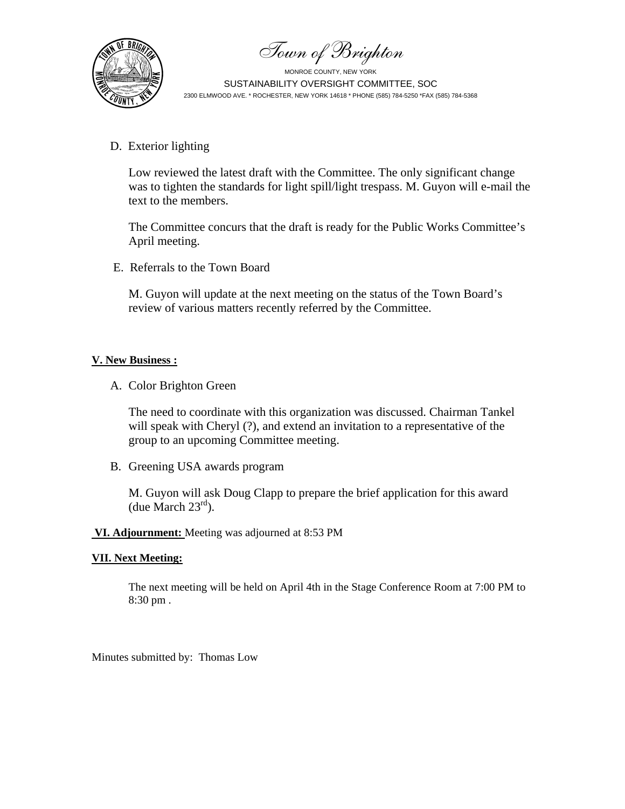Town of Brighton



D. Exterior lighting

Low reviewed the latest draft with the Committee. The only significant change was to tighten the standards for light spill/light trespass. M. Guyon will e-mail the text to the members.

The Committee concurs that the draft is ready for the Public Works Committee's April meeting.

E. Referrals to the Town Board

M. Guyon will update at the next meeting on the status of the Town Board's review of various matters recently referred by the Committee.

# **V. New Business :**

A. Color Brighton Green

The need to coordinate with this organization was discussed. Chairman Tankel will speak with Cheryl (?), and extend an invitation to a representative of the group to an upcoming Committee meeting.

B. Greening USA awards program

M. Guyon will ask Doug Clapp to prepare the brief application for this award (due March  $23<sup>rd</sup>$ ).

## **VI. Adjournment:** Meeting was adjourned at 8:53 PM

## **VII. Next Meeting:**

The next meeting will be held on April 4th in the Stage Conference Room at 7:00 PM to 8:30 pm .

Minutes submitted by: Thomas Low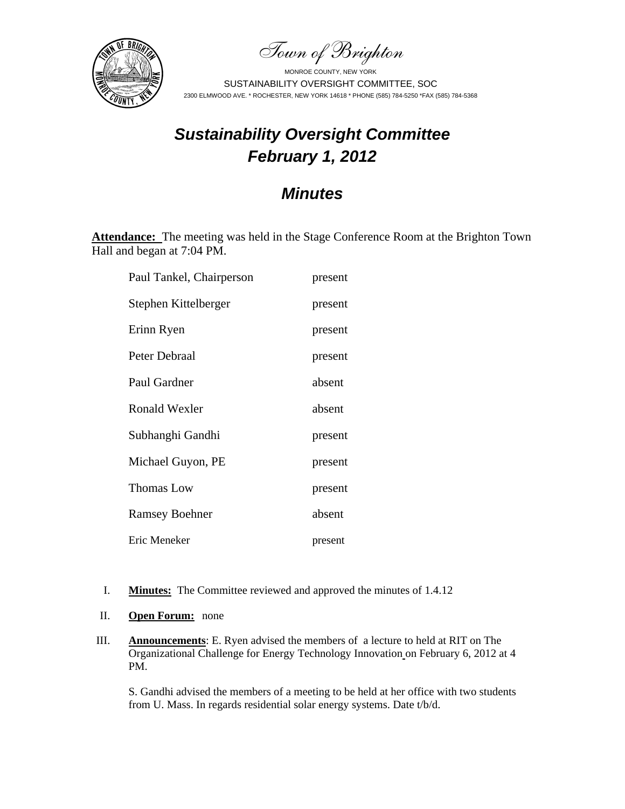Town of Brighton



# *Sustainability Oversight Committee February 1, 2012*

# *Minutes*

**Attendance:** The meeting was held in the Stage Conference Room at the Brighton Town Hall and began at 7:04 PM.

| Paul Tankel, Chairperson | present |
|--------------------------|---------|
| Stephen Kittelberger     | present |
| Erinn Ryen               | present |
| Peter Debraal            | present |
| Paul Gardner             | absent  |
| <b>Ronald Wexler</b>     | absent  |
| Subhanghi Gandhi         | present |
| Michael Guyon, PE        | present |
| <b>Thomas Low</b>        | present |
| <b>Ramsey Boehner</b>    | absent  |
| Eric Meneker             | present |

- I. **Minutes:** The Committee reviewed and approved the minutes of 1.4.12
- II. **Open Forum:** none
- III. **Announcements**: E. Ryen advised the members of a lecture to held at RIT on The Organizational Challenge for Energy Technology Innovation on February 6, 2012 at 4 PM.

S. Gandhi advised the members of a meeting to be held at her office with two students from U. Mass. In regards residential solar energy systems. Date t/b/d.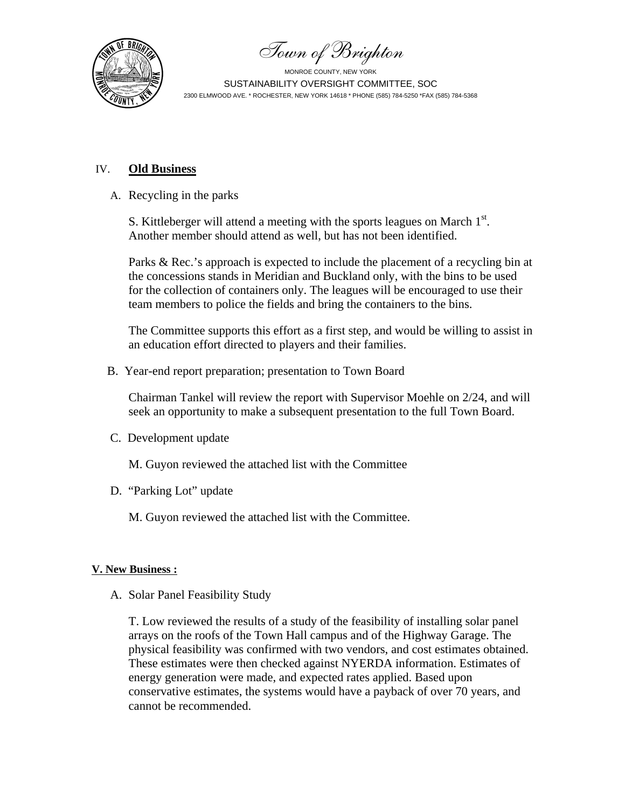

Town of Brighton

# IV. **Old Business**

A. Recycling in the parks

S. Kittleberger will attend a meeting with the sports leagues on March  $1<sup>st</sup>$ . Another member should attend as well, but has not been identified.

Parks & Rec.'s approach is expected to include the placement of a recycling bin at the concessions stands in Meridian and Buckland only, with the bins to be used for the collection of containers only. The leagues will be encouraged to use their team members to police the fields and bring the containers to the bins.

The Committee supports this effort as a first step, and would be willing to assist in an education effort directed to players and their families.

B. Year-end report preparation; presentation to Town Board

Chairman Tankel will review the report with Supervisor Moehle on 2/24, and will seek an opportunity to make a subsequent presentation to the full Town Board.

C. Development update

M. Guyon reviewed the attached list with the Committee

D. "Parking Lot" update

M. Guyon reviewed the attached list with the Committee.

## **V. New Business :**

A. Solar Panel Feasibility Study

T. Low reviewed the results of a study of the feasibility of installing solar panel arrays on the roofs of the Town Hall campus and of the Highway Garage. The physical feasibility was confirmed with two vendors, and cost estimates obtained. These estimates were then checked against NYERDA information. Estimates of energy generation were made, and expected rates applied. Based upon conservative estimates, the systems would have a payback of over 70 years, and cannot be recommended.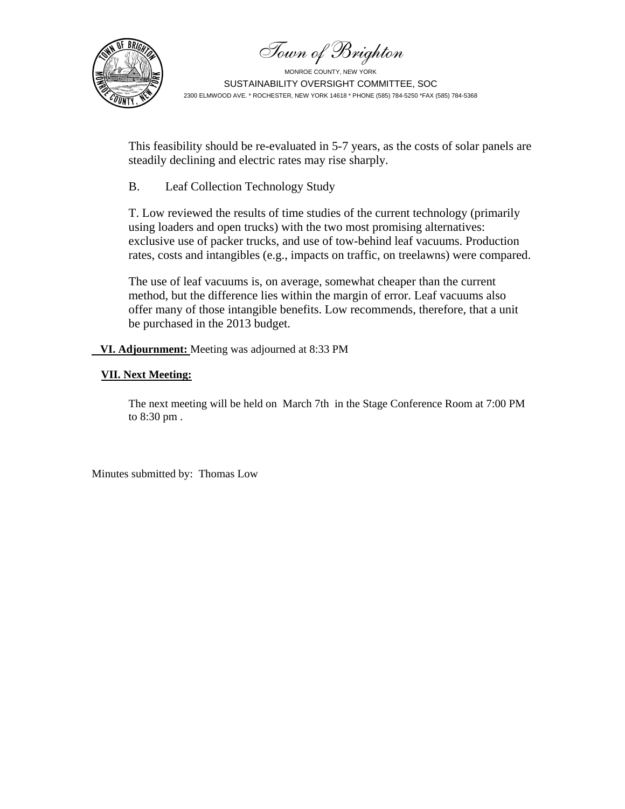Town of Brighton



This feasibility should be re-evaluated in 5-7 years, as the costs of solar panels are steadily declining and electric rates may rise sharply.

B. Leaf Collection Technology Study

T. Low reviewed the results of time studies of the current technology (primarily using loaders and open trucks) with the two most promising alternatives: exclusive use of packer trucks, and use of tow-behind leaf vacuums. Production rates, costs and intangibles (e.g., impacts on traffic, on treelawns) were compared.

The use of leaf vacuums is, on average, somewhat cheaper than the current method, but the difference lies within the margin of error. Leaf vacuums also offer many of those intangible benefits. Low recommends, therefore, that a unit be purchased in the 2013 budget.

 **VI. Adjournment:** Meeting was adjourned at 8:33 PM

## **VII. Next Meeting:**

The next meeting will be held on March 7th in the Stage Conference Room at 7:00 PM to 8:30 pm .

Minutes submitted by: Thomas Low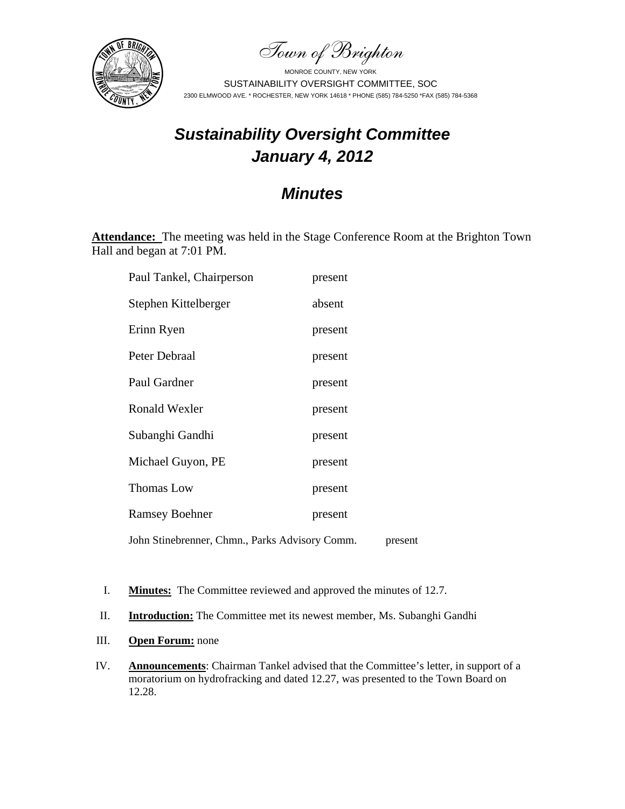Town of Brighton



# *Sustainability Oversight Committee January 4, 2012*

# *Minutes*

**Attendance:** The meeting was held in the Stage Conference Room at the Brighton Town Hall and began at 7:01 PM.

| Paul Tankel, Chairperson                       | present |         |
|------------------------------------------------|---------|---------|
| Stephen Kittelberger                           | absent  |         |
| Erinn Ryen                                     | present |         |
| Peter Debraal                                  | present |         |
| Paul Gardner                                   | present |         |
| Ronald Wexler                                  | present |         |
| Subanghi Gandhi                                | present |         |
| Michael Guyon, PE                              | present |         |
| Thomas Low                                     | present |         |
| <b>Ramsey Boehner</b>                          | present |         |
| John Stinebrenner, Chmn., Parks Advisory Comm. |         | present |

I. **Minutes:** The Committee reviewed and approved the minutes of 12.7.

II. **Introduction:** The Committee met its newest member, Ms. Subanghi Gandhi

- III. **Open Forum:** none
- IV. **Announcements**: Chairman Tankel advised that the Committee's letter, in support of a moratorium on hydrofracking and dated 12.27, was presented to the Town Board on 12.28.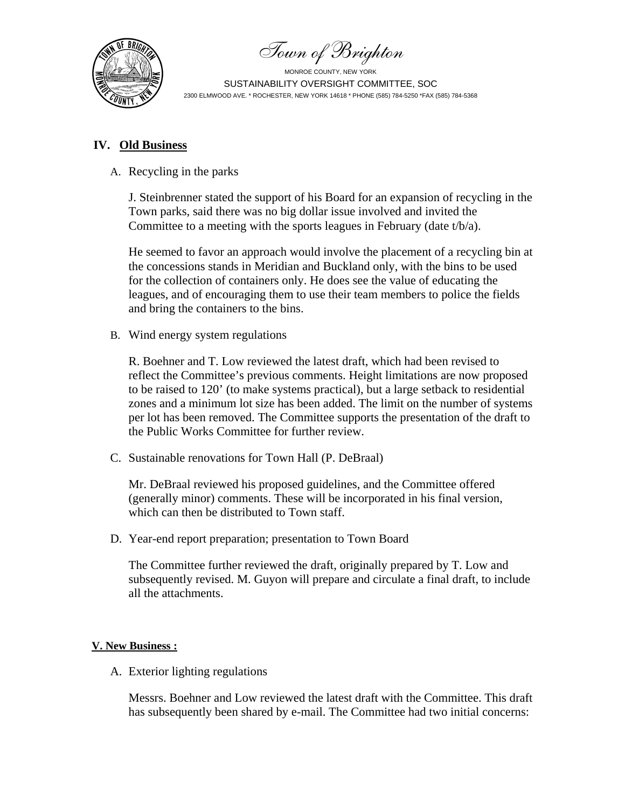Town of Brighton



# **IV. Old Business**

A. Recycling in the parks

J. Steinbrenner stated the support of his Board for an expansion of recycling in the Town parks, said there was no big dollar issue involved and invited the Committee to a meeting with the sports leagues in February (date t/b/a).

He seemed to favor an approach would involve the placement of a recycling bin at the concessions stands in Meridian and Buckland only, with the bins to be used for the collection of containers only. He does see the value of educating the leagues, and of encouraging them to use their team members to police the fields and bring the containers to the bins.

B. Wind energy system regulations

R. Boehner and T. Low reviewed the latest draft, which had been revised to reflect the Committee's previous comments. Height limitations are now proposed to be raised to 120' (to make systems practical), but a large setback to residential zones and a minimum lot size has been added. The limit on the number of systems per lot has been removed. The Committee supports the presentation of the draft to the Public Works Committee for further review.

C. Sustainable renovations for Town Hall (P. DeBraal)

Mr. DeBraal reviewed his proposed guidelines, and the Committee offered (generally minor) comments. These will be incorporated in his final version, which can then be distributed to Town staff.

D. Year-end report preparation; presentation to Town Board

The Committee further reviewed the draft, originally prepared by T. Low and subsequently revised. M. Guyon will prepare and circulate a final draft, to include all the attachments.

# **V. New Business :**

A. Exterior lighting regulations

Messrs. Boehner and Low reviewed the latest draft with the Committee. This draft has subsequently been shared by e-mail. The Committee had two initial concerns: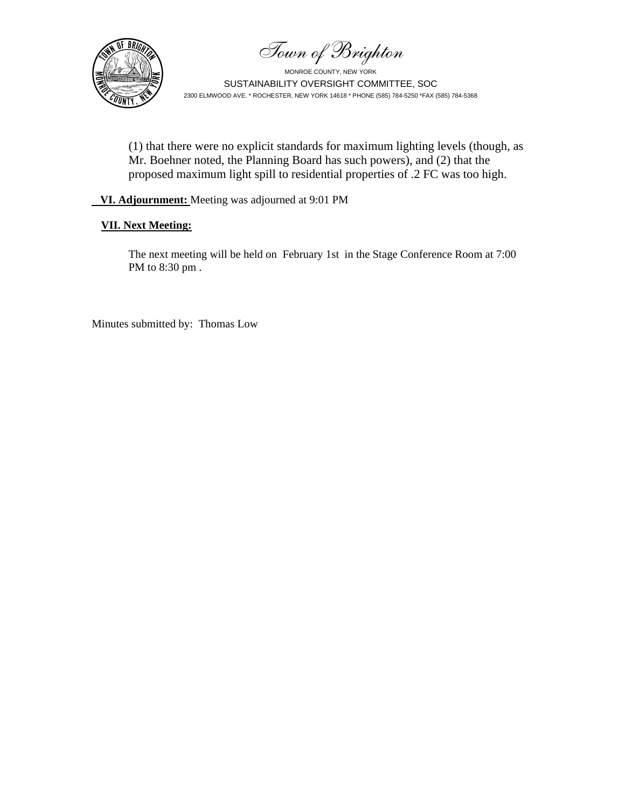Town of Brighton



MONROE COUNTY, NEW YORK SUSTAINABILITY OVERSIGHT COMMITTEE, SOC 2300 ELMWOOD AVE. \* ROCHESTER, NEW YORK 14618 \* PHONE (585) 784-5250 \*FAX (585) 784-5368

(1) that there were no explicit standards for maximum lighting levels (though, as Mr. Boehner noted, the Planning Board has such powers), and (2) that the proposed maximum light spill to residential properties of .2 FC was too high.

## **VI. Adjournment:** Meeting was adjourned at 9:01 PM

## **VII. Next Meeting:**

The next meeting will be held on February 1st in the Stage Conference Room at 7:00 PM to 8:30 pm .

Minutes submitted by: Thomas Low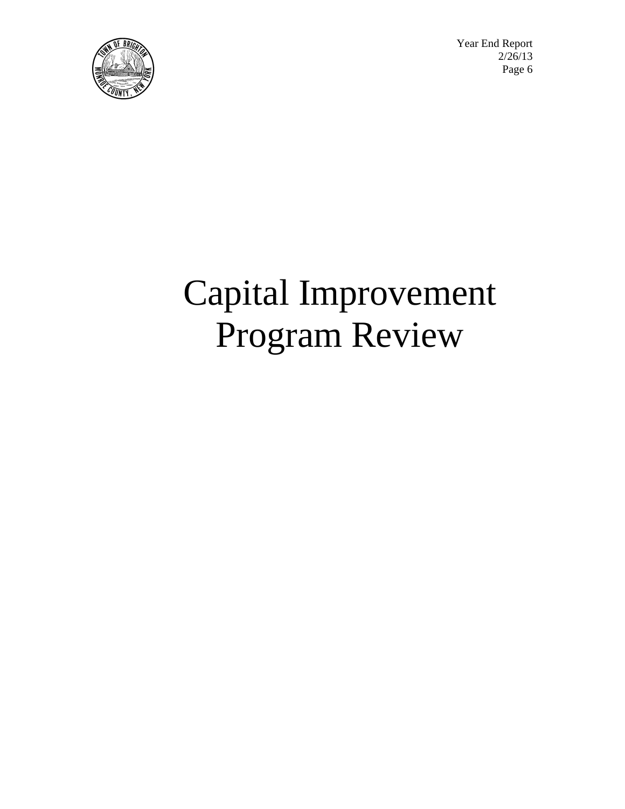

 Year End Report  $\sqrt{2}/26/13$  $\left[\mathbf{E}(\mathbb{Z}^2) \right]$   $\mathbf{E}$  Page 6

# Capital Improvement Program Review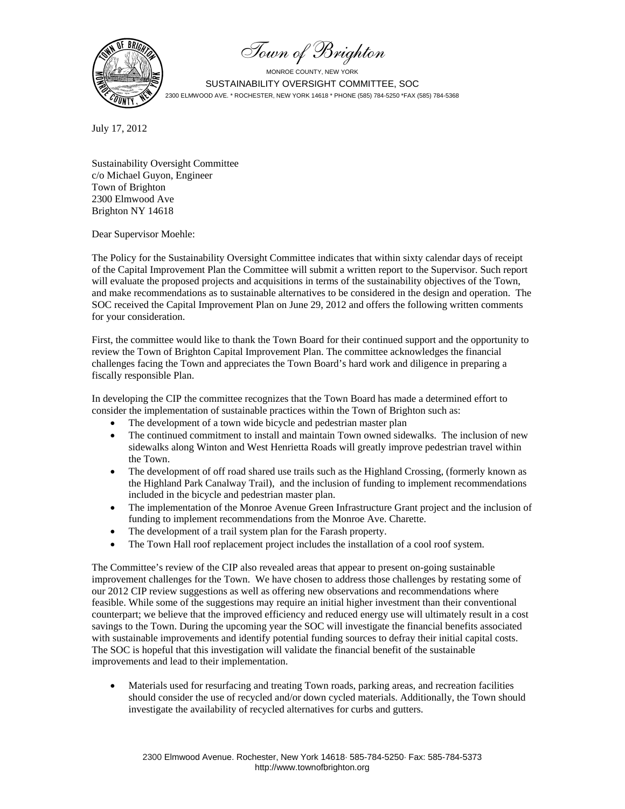Town of Brighton



July 17, 2012

Sustainability Oversight Committee c/o Michael Guyon, Engineer Town of Brighton 2300 Elmwood Ave Brighton NY 14618

Dear Supervisor Moehle:

The Policy for the Sustainability Oversight Committee indicates that within sixty calendar days of receipt of the Capital Improvement Plan the Committee will submit a written report to the Supervisor. Such report will evaluate the proposed projects and acquisitions in terms of the sustainability objectives of the Town, and make recommendations as to sustainable alternatives to be considered in the design and operation. The SOC received the Capital Improvement Plan on June 29, 2012 and offers the following written comments for your consideration.

First, the committee would like to thank the Town Board for their continued support and the opportunity to review the Town of Brighton Capital Improvement Plan. The committee acknowledges the financial challenges facing the Town and appreciates the Town Board's hard work and diligence in preparing a fiscally responsible Plan.

In developing the CIP the committee recognizes that the Town Board has made a determined effort to consider the implementation of sustainable practices within the Town of Brighton such as:

- The development of a town wide bicycle and pedestrian master plan
- The continued commitment to install and maintain Town owned sidewalks. The inclusion of new sidewalks along Winton and West Henrietta Roads will greatly improve pedestrian travel within the Town.
- The development of off road shared use trails such as the Highland Crossing, (formerly known as the Highland Park Canalway Trail), and the inclusion of funding to implement recommendations included in the bicycle and pedestrian master plan.
- The implementation of the Monroe Avenue Green Infrastructure Grant project and the inclusion of funding to implement recommendations from the Monroe Ave. Charette.
- The development of a trail system plan for the Farash property.
- The Town Hall roof replacement project includes the installation of a cool roof system.

The Committee's review of the CIP also revealed areas that appear to present on-going sustainable improvement challenges for the Town. We have chosen to address those challenges by restating some of our 2012 CIP review suggestions as well as offering new observations and recommendations where feasible. While some of the suggestions may require an initial higher investment than their conventional counterpart; we believe that the improved efficiency and reduced energy use will ultimately result in a cost savings to the Town. During the upcoming year the SOC will investigate the financial benefits associated with sustainable improvements and identify potential funding sources to defray their initial capital costs. The SOC is hopeful that this investigation will validate the financial benefit of the sustainable improvements and lead to their implementation.

 Materials used for resurfacing and treating Town roads, parking areas, and recreation facilities should consider the use of recycled and/or down cycled materials. Additionally, the Town should investigate the availability of recycled alternatives for curbs and gutters.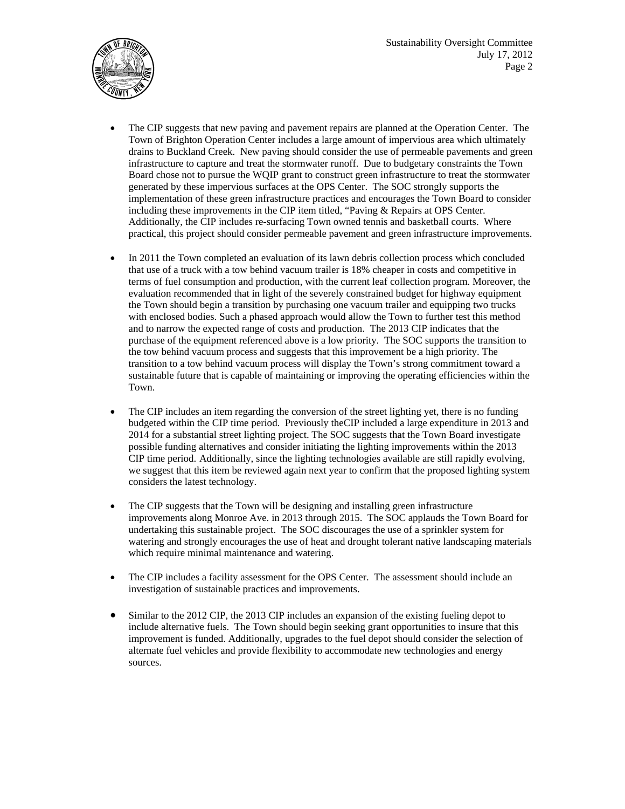



- The CIP suggests that new paving and pavement repairs are planned at the Operation Center. The Town of Brighton Operation Center includes a large amount of impervious area which ultimately drains to Buckland Creek. New paving should consider the use of permeable pavements and green infrastructure to capture and treat the stormwater runoff. Due to budgetary constraints the Town Board chose not to pursue the WQIP grant to construct green infrastructure to treat the stormwater generated by these impervious surfaces at the OPS Center. The SOC strongly supports the implementation of these green infrastructure practices and encourages the Town Board to consider including these improvements in the CIP item titled, "Paving & Repairs at OPS Center. Additionally, the CIP includes re-surfacing Town owned tennis and basketball courts. Where practical, this project should consider permeable pavement and green infrastructure improvements.
- In 2011 the Town completed an evaluation of its lawn debris collection process which concluded that use of a truck with a tow behind vacuum trailer is 18% cheaper in costs and competitive in terms of fuel consumption and production, with the current leaf collection program. Moreover, the evaluation recommended that in light of the severely constrained budget for highway equipment the Town should begin a transition by purchasing one vacuum trailer and equipping two trucks with enclosed bodies. Such a phased approach would allow the Town to further test this method and to narrow the expected range of costs and production. The 2013 CIP indicates that the purchase of the equipment referenced above is a low priority. The SOC supports the transition to the tow behind vacuum process and suggests that this improvement be a high priority. The transition to a tow behind vacuum process will display the Town's strong commitment toward a sustainable future that is capable of maintaining or improving the operating efficiencies within the Town.
- The CIP includes an item regarding the conversion of the street lighting yet, there is no funding budgeted within the CIP time period. Previously theCIP included a large expenditure in 2013 and 2014 for a substantial street lighting project. The SOC suggests that the Town Board investigate possible funding alternatives and consider initiating the lighting improvements within the 2013 CIP time period. Additionally, since the lighting technologies available are still rapidly evolving, we suggest that this item be reviewed again next year to confirm that the proposed lighting system considers the latest technology.
- The CIP suggests that the Town will be designing and installing green infrastructure improvements along Monroe Ave. in 2013 through 2015. The SOC applauds the Town Board for undertaking this sustainable project. The SOC discourages the use of a sprinkler system for watering and strongly encourages the use of heat and drought tolerant native landscaping materials which require minimal maintenance and watering.
- The CIP includes a facility assessment for the OPS Center. The assessment should include an investigation of sustainable practices and improvements.
- Similar to the 2012 CIP, the 2013 CIP includes an expansion of the existing fueling depot to include alternative fuels. The Town should begin seeking grant opportunities to insure that this improvement is funded. Additionally, upgrades to the fuel depot should consider the selection of alternate fuel vehicles and provide flexibility to accommodate new technologies and energy sources.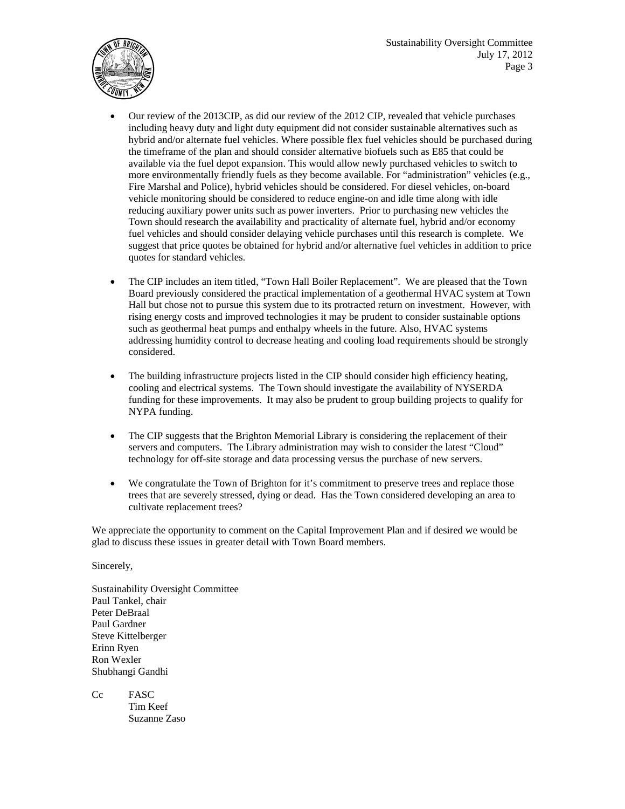

- Our review of the 2013CIP, as did our review of the 2012 CIP, revealed that vehicle purchases including heavy duty and light duty equipment did not consider sustainable alternatives such as hybrid and/or alternate fuel vehicles. Where possible flex fuel vehicles should be purchased during the timeframe of the plan and should consider alternative biofuels such as E85 that could be available via the fuel depot expansion. This would allow newly purchased vehicles to switch to more environmentally friendly fuels as they become available. For "administration" vehicles (e.g., Fire Marshal and Police), hybrid vehicles should be considered. For diesel vehicles, on-board vehicle monitoring should be considered to reduce engine-on and idle time along with idle reducing auxiliary power units such as power inverters. Prior to purchasing new vehicles the Town should research the availability and practicality of alternate fuel, hybrid and/or economy fuel vehicles and should consider delaying vehicle purchases until this research is complete. We suggest that price quotes be obtained for hybrid and/or alternative fuel vehicles in addition to price quotes for standard vehicles.
- The CIP includes an item titled, "Town Hall Boiler Replacement". We are pleased that the Town Board previously considered the practical implementation of a geothermal HVAC system at Town Hall but chose not to pursue this system due to its protracted return on investment. However, with rising energy costs and improved technologies it may be prudent to consider sustainable options such as geothermal heat pumps and enthalpy wheels in the future. Also, HVAC systems addressing humidity control to decrease heating and cooling load requirements should be strongly considered.
- The building infrastructure projects listed in the CIP should consider high efficiency heating, cooling and electrical systems. The Town should investigate the availability of NYSERDA funding for these improvements. It may also be prudent to group building projects to qualify for NYPA funding.
- The CIP suggests that the Brighton Memorial Library is considering the replacement of their servers and computers. The Library administration may wish to consider the latest "Cloud" technology for off-site storage and data processing versus the purchase of new servers.
- We congratulate the Town of Brighton for it's commitment to preserve trees and replace those trees that are severely stressed, dying or dead. Has the Town considered developing an area to cultivate replacement trees?

We appreciate the opportunity to comment on the Capital Improvement Plan and if desired we would be glad to discuss these issues in greater detail with Town Board members.

Sincerely,

Sustainability Oversight Committee Paul Tankel, chair Peter DeBraal Paul Gardner Steve Kittelberger Erinn Ryen Ron Wexler Shubhangi Gandhi

Cc FASC Tim Keef Suzanne Zaso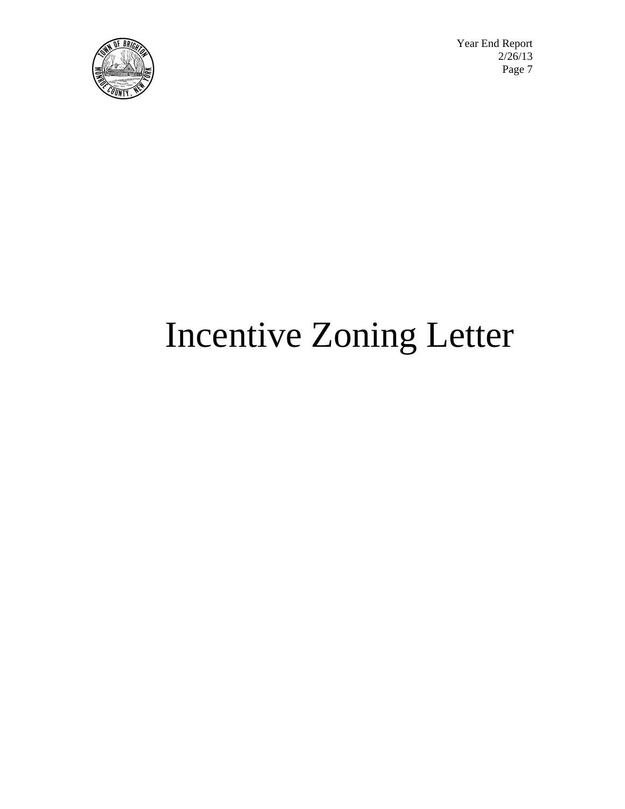

Year End Report<br>2/26/13  $\sqrt{2}/26/13$  $\left[\mathbf{E}(\mathbb{Z}^2) \right]$   $\mathbf{P}$ age 7

# Incentive Zoning Letter